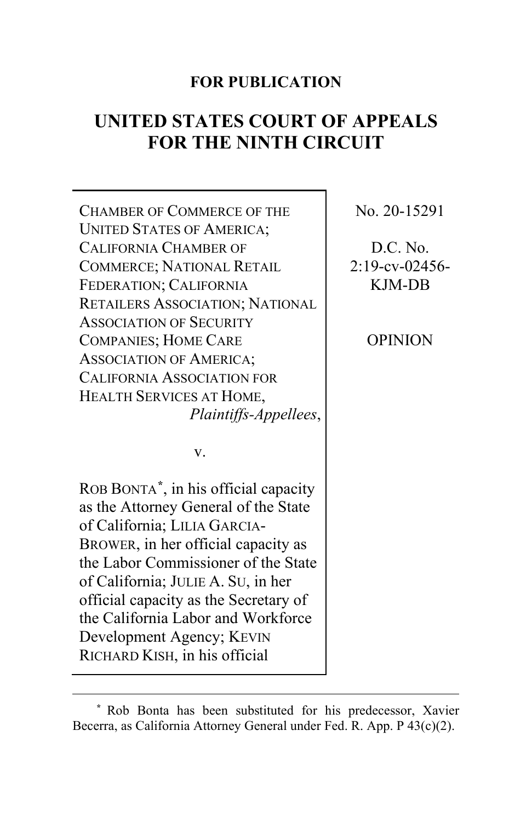# **FOR PUBLICATION**

# **UNITED STATES COURT OF APPEALS FOR THE NINTH CIRCUIT**

CHAMBER OF COMMERCE OF THE UNITED STATES OF AMERICA; CALIFORNIA CHAMBER OF COMMERCE; NATIONAL RETAIL FEDERATION; CALIFORNIA RETAILERS ASSOCIATION; NATIONAL ASSOCIATION OF SECURITY COMPANIES; HOME CARE ASSOCIATION OF AMERICA; CALIFORNIA ASSOCIATION FOR HEALTH SERVICES AT HOME, *Plaintiffs-Appellees*,

v.

ROB BONTA**[\\*](#page-0-0)**, in his official capacity as the Attorney General of the State of California; LILIA GARCIA-BROWER, in her official capacity as the Labor Commissioner of the State of California; JULIE A. SU, in her official capacity as the Secretary of the California Labor and Workforce Development Agency; KEVIN RICHARD KISH, in his official

No. 20-15291

D.C. No. 2:19-cv-02456- KJM-DB

OPINION

<span id="page-0-0"></span>**<sup>\*</sup>** Rob Bonta has been substituted for his predecessor, Xavier Becerra, as California Attorney General under Fed. R. App. P 43(c)(2).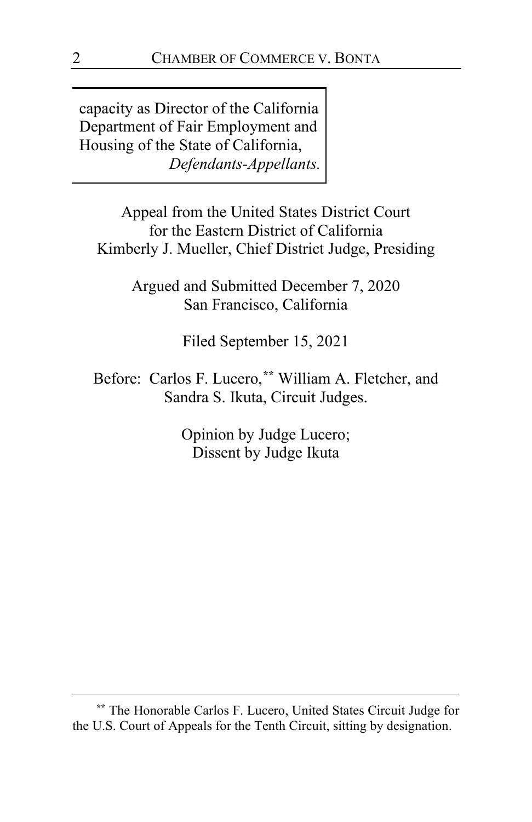capacity as Director of the California Department of Fair Employment and Housing of the State of California, *Defendants-Appellants.*

Appeal from the United States District Court for the Eastern District of California Kimberly J. Mueller, Chief District Judge, Presiding

> Argued and Submitted December 7, 2020 San Francisco, California

> > Filed September 15, 2021

Before: Carlos F. Lucero,**[\\*\\*](#page-1-0)** William A. Fletcher, and Sandra S. Ikuta, Circuit Judges.

> Opinion by Judge Lucero; Dissent by Judge Ikuta

<span id="page-1-0"></span>**<sup>\*\*</sup>** The Honorable Carlos F. Lucero, United States Circuit Judge for the U.S. Court of Appeals for the Tenth Circuit, sitting by designation.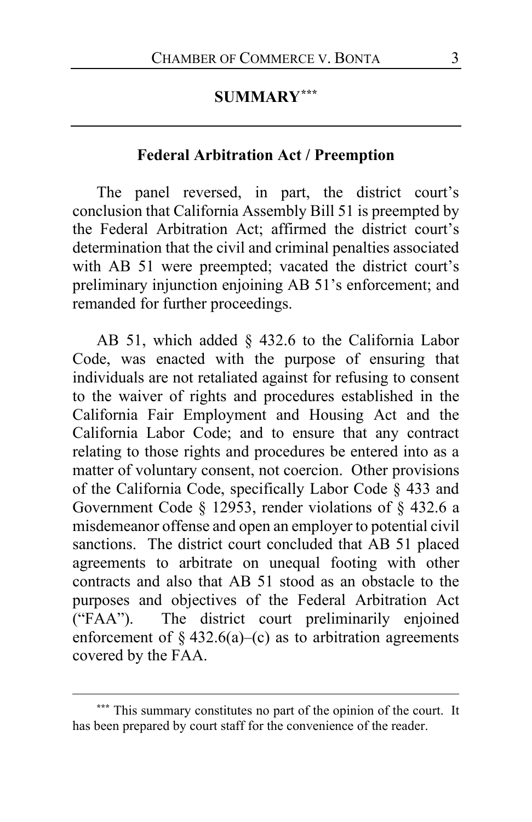# **SUMMARY[\\*\\*\\*](#page-2-0)**

# **Federal Arbitration Act / Preemption**

The panel reversed, in part, the district court's conclusion that California Assembly Bill 51 is preempted by the Federal Arbitration Act; affirmed the district court's determination that the civil and criminal penalties associated with AB 51 were preempted; vacated the district court's preliminary injunction enjoining AB 51's enforcement; and remanded for further proceedings.

AB 51, which added § 432.6 to the California Labor Code, was enacted with the purpose of ensuring that individuals are not retaliated against for refusing to consent to the waiver of rights and procedures established in the California Fair Employment and Housing Act and the California Labor Code; and to ensure that any contract relating to those rights and procedures be entered into as a matter of voluntary consent, not coercion. Other provisions of the California Code, specifically Labor Code § 433 and Government Code § 12953, render violations of § 432.6 a misdemeanor offense and open an employer to potential civil sanctions. The district court concluded that AB 51 placed agreements to arbitrate on unequal footing with other contracts and also that AB 51 stood as an obstacle to the purposes and objectives of the Federal Arbitration Act ("FAA"). The district court preliminarily enjoined enforcement of  $\S$  432.6(a)–(c) as to arbitration agreements covered by the FAA.

<span id="page-2-0"></span>**<sup>\*\*\*</sup>** This summary constitutes no part of the opinion of the court. It has been prepared by court staff for the convenience of the reader.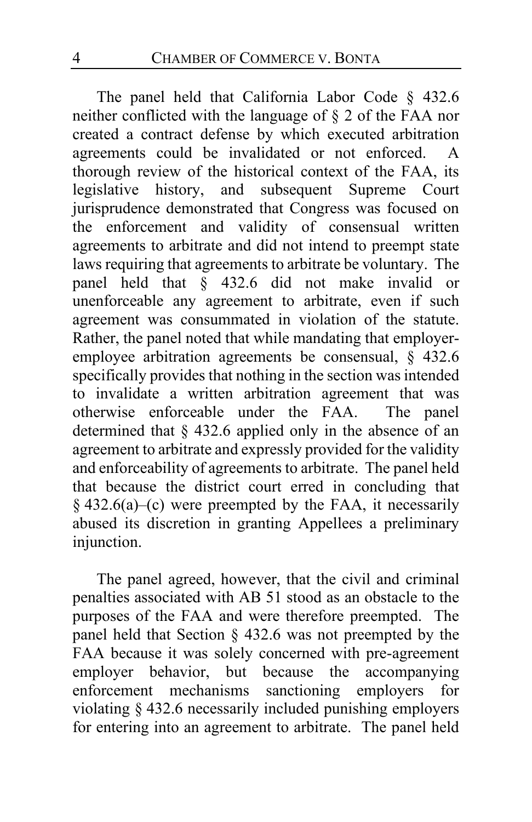The panel held that California Labor Code § 432.6 neither conflicted with the language of § 2 of the FAA nor created a contract defense by which executed arbitration agreements could be invalidated or not enforced. A thorough review of the historical context of the FAA, its legislative history, and subsequent Supreme Court jurisprudence demonstrated that Congress was focused on the enforcement and validity of consensual written agreements to arbitrate and did not intend to preempt state laws requiring that agreements to arbitrate be voluntary. The panel held that § 432.6 did not make invalid or unenforceable any agreement to arbitrate, even if such agreement was consummated in violation of the statute. Rather, the panel noted that while mandating that employeremployee arbitration agreements be consensual, § 432.6 specifically provides that nothing in the section was intended to invalidate a written arbitration agreement that was otherwise enforceable under the FAA. The panel determined that § 432.6 applied only in the absence of an agreement to arbitrate and expressly provided for the validity and enforceability of agreements to arbitrate. The panel held that because the district court erred in concluding that  $§$  432.6(a)–(c) were preempted by the FAA, it necessarily abused its discretion in granting Appellees a preliminary injunction.

The panel agreed, however, that the civil and criminal penalties associated with AB 51 stood as an obstacle to the purposes of the FAA and were therefore preempted. The panel held that Section § 432.6 was not preempted by the FAA because it was solely concerned with pre-agreement employer behavior, but because the accompanying enforcement mechanisms sanctioning employers for violating § 432.6 necessarily included punishing employers for entering into an agreement to arbitrate. The panel held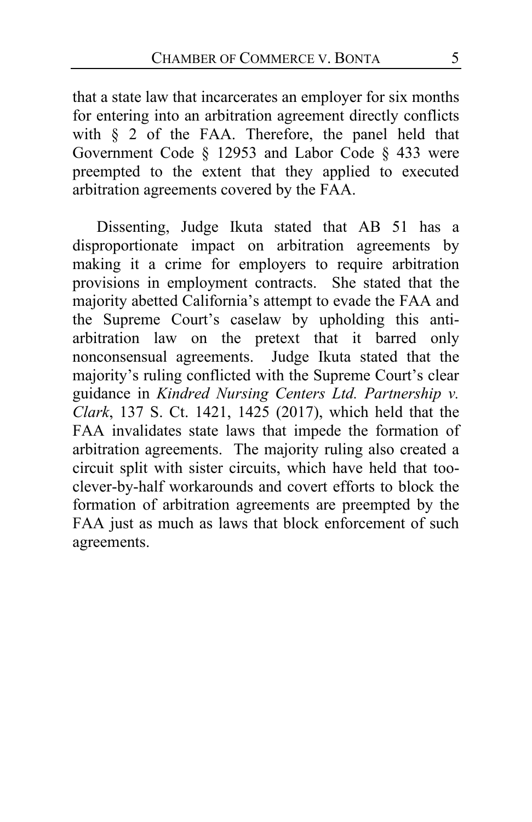that a state law that incarcerates an employer for six months for entering into an arbitration agreement directly conflicts with § 2 of the FAA. Therefore, the panel held that Government Code § 12953 and Labor Code § 433 were preempted to the extent that they applied to executed arbitration agreements covered by the FAA.

Dissenting, Judge Ikuta stated that AB 51 has a disproportionate impact on arbitration agreements by making it a crime for employers to require arbitration provisions in employment contracts. She stated that the majority abetted California's attempt to evade the FAA and the Supreme Court's caselaw by upholding this antiarbitration law on the pretext that it barred only nonconsensual agreements. Judge Ikuta stated that the majority's ruling conflicted with the Supreme Court's clear guidance in *Kindred Nursing Centers Ltd. Partnership v. Clark*, 137 S. Ct. 1421, 1425 (2017), which held that the FAA invalidates state laws that impede the formation of arbitration agreements. The majority ruling also created a circuit split with sister circuits, which have held that tooclever-by-half workarounds and covert efforts to block the formation of arbitration agreements are preempted by the FAA just as much as laws that block enforcement of such agreements.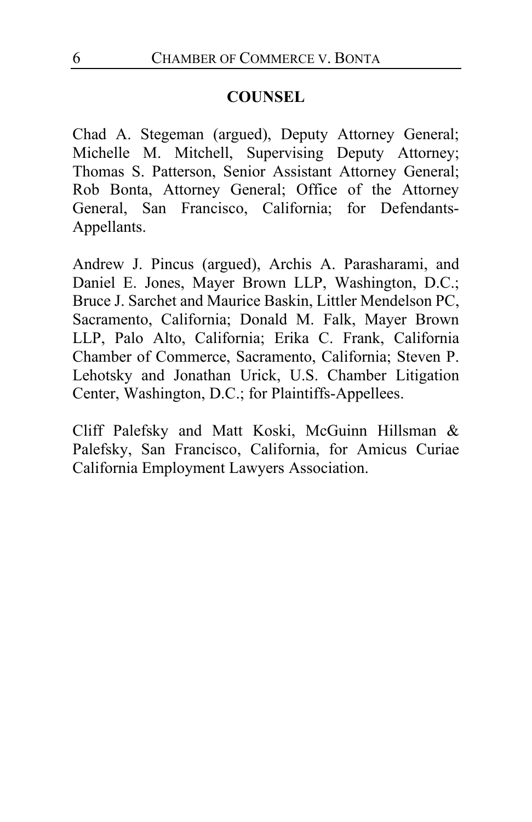# **COUNSEL**

Chad A. Stegeman (argued), Deputy Attorney General; Michelle M. Mitchell, Supervising Deputy Attorney; Thomas S. Patterson, Senior Assistant Attorney General; Rob Bonta, Attorney General; Office of the Attorney General, San Francisco, California; for Defendants-Appellants.

Andrew J. Pincus (argued), Archis A. Parasharami, and Daniel E. Jones, Mayer Brown LLP, Washington, D.C.; Bruce J. Sarchet and Maurice Baskin, Littler Mendelson PC, Sacramento, California; Donald M. Falk, Mayer Brown LLP, Palo Alto, California; Erika C. Frank, California Chamber of Commerce, Sacramento, California; Steven P. Lehotsky and Jonathan Urick, U.S. Chamber Litigation Center, Washington, D.C.; for Plaintiffs-Appellees.

Cliff Palefsky and Matt Koski, McGuinn Hillsman & Palefsky, San Francisco, California, for Amicus Curiae California Employment Lawyers Association.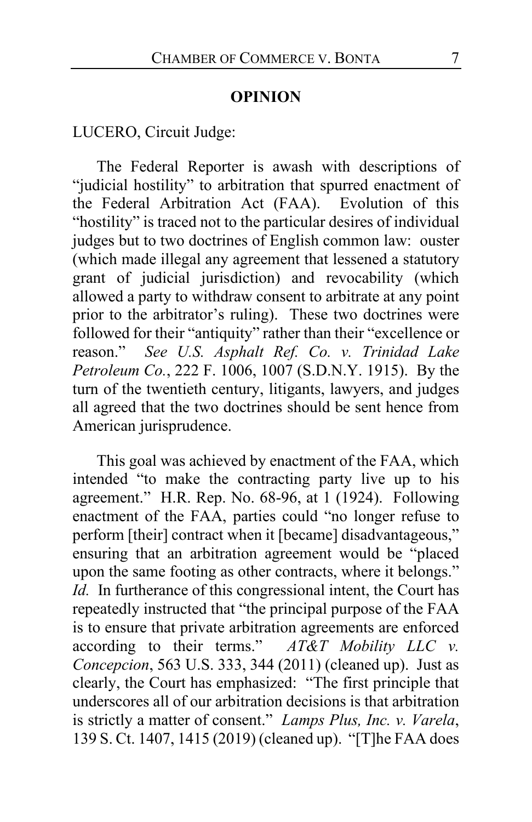## **OPINION**

LUCERO, Circuit Judge:

The Federal Reporter is awash with descriptions of "judicial hostility" to arbitration that spurred enactment of the Federal Arbitration Act (FAA). Evolution of this "hostility" is traced not to the particular desires of individual judges but to two doctrines of English common law: ouster (which made illegal any agreement that lessened a statutory grant of judicial jurisdiction) and revocability (which allowed a party to withdraw consent to arbitrate at any point prior to the arbitrator's ruling). These two doctrines were followed for their "antiquity" rather than their "excellence or reason." *See U.S. Asphalt Ref. Co. v. Trinidad Lake Petroleum Co.*, 222 F. 1006, 1007 (S.D.N.Y. 1915). By the turn of the twentieth century, litigants, lawyers, and judges all agreed that the two doctrines should be sent hence from American jurisprudence.

This goal was achieved by enactment of the FAA, which intended "to make the contracting party live up to his agreement." H.R. Rep. No. 68-96, at 1 (1924). Following enactment of the FAA, parties could "no longer refuse to perform [their] contract when it [became] disadvantageous," ensuring that an arbitration agreement would be "placed upon the same footing as other contracts, where it belongs." *Id.* In furtherance of this congressional intent, the Court has repeatedly instructed that "the principal purpose of the FAA is to ensure that private arbitration agreements are enforced according to their terms." *AT&T Mobility LLC v. Concepcion*, 563 U.S. 333, 344 (2011) (cleaned up). Just as clearly, the Court has emphasized: "The first principle that underscores all of our arbitration decisions is that arbitration is strictly a matter of consent." *Lamps Plus, Inc. v. Varela*, 139 S. Ct. 1407, 1415 (2019) (cleaned up). "[T]he FAA does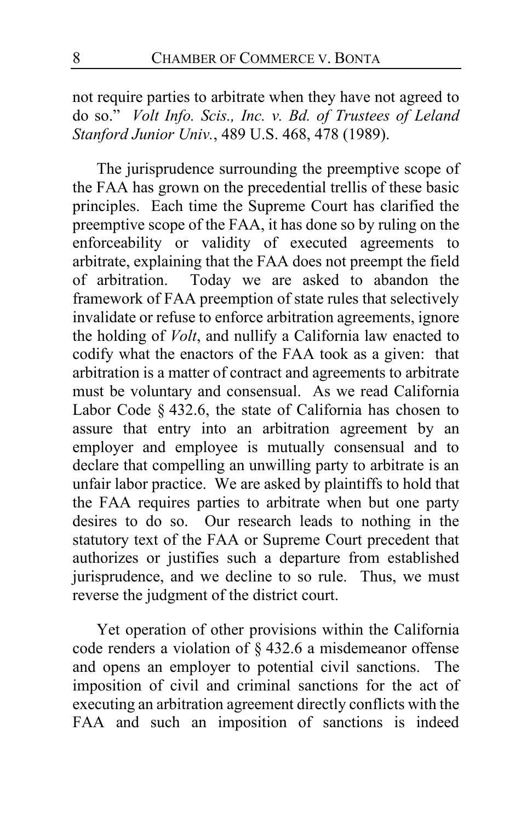not require parties to arbitrate when they have not agreed to do so." *Volt Info. Scis., Inc. v. Bd. of Trustees of Leland Stanford Junior Univ.*, 489 U.S. 468, 478 (1989).

<span id="page-7-0"></span>The jurisprudence surrounding the preemptive scope of the FAA has grown on the precedential trellis of these basic principles. Each time the Supreme Court has clarified the preemptive scope of the FAA, it has done so by ruling on the enforceability or validity of executed agreements to arbitrate, explaining that the FAA does not preempt the field of arbitration. Today we are asked to abandon the framework of FAA preemption of state rules that selectively invalidate or refuse to enforce arbitration agreements, ignore the holding of *Volt*, and nullify a California law enacted to codify what the enactors of the FAA took as a given: that arbitration is a matter of contract and agreements to arbitrate must be voluntary and consensual. As we read California Labor Code § 432.6, the state of California has chosen to assure that entry into an arbitration agreement by an employer and employee is mutually consensual and to declare that compelling an unwilling party to arbitrate is an unfair labor practice. We are asked by plaintiffs to hold that the FAA requires parties to arbitrate when but one party desires to do so. Our research leads to nothing in the statutory text of the FAA or Supreme Court precedent that authorizes or justifies such a departure from established jurisprudence, and we decline to so rule. Thus, we must reverse the judgment of the district court.

Yet operation of other provisions within the California code renders a violation of § 432.6 a misdemeanor offense and opens an employer to potential civil sanctions. The imposition of civil and criminal sanctions for the act of executing an arbitration agreement directly conflicts with the FAA and such an imposition of sanctions is indeed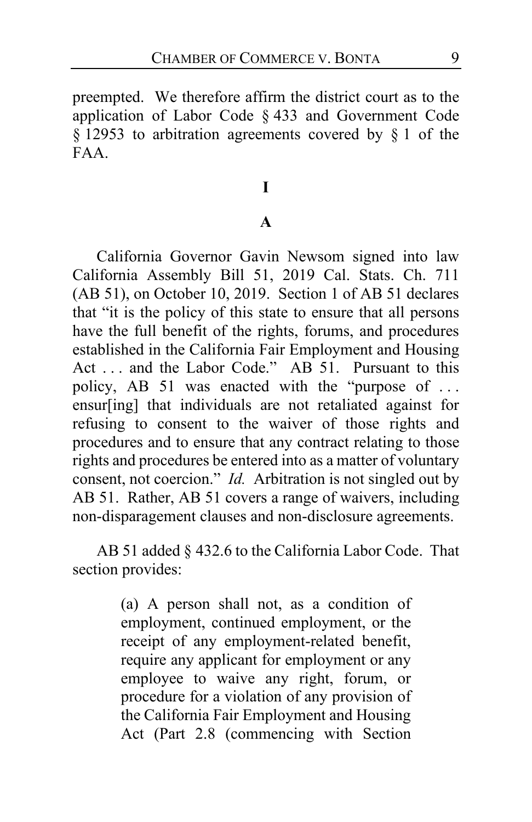preempted. We therefore affirm the district court as to the application of Labor Code § 433 and Government Code § 12953 to arbitration agreements covered by § 1 of the FAA.

# **I**

# **A**

California Governor Gavin Newsom signed into law California Assembly Bill 51, 2019 Cal. Stats. Ch. 711 (AB 51), on October 10, 2019. Section 1 of AB 51 declares that "it is the policy of this state to ensure that all persons have the full benefit of the rights, forums, and procedures established in the California Fair Employment and Housing Act . . . and the Labor Code." AB 51.Pursuant to this policy, AB 51 was enacted with the "purpose of ... ensur[ing] that individuals are not retaliated against for refusing to consent to the waiver of those rights and procedures and to ensure that any contract relating to those rights and procedures be entered into as a matter of voluntary consent, not coercion." *Id.* Arbitration is not singled out by AB 51. Rather, AB 51 covers a range of waivers, including non-disparagement clauses and non-disclosure agreements.

AB 51 added § 432.6 to the California Labor Code. That section provides:

> (a) A person shall not, as a condition of employment, continued employment, or the receipt of any employment-related benefit, require any applicant for employment or any employee to waive any right, forum, or procedure for a violation of any provision of the California Fair Employment and Housing Act (Part 2.8 (commencing with Section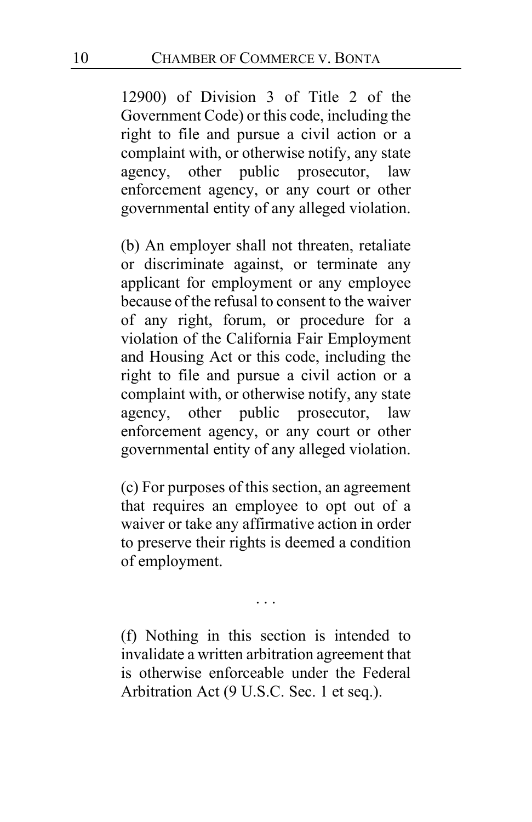12900) of Division 3 of Title 2 of the Government Code) or this code, including the right to file and pursue a civil action or a complaint with, or otherwise notify, any state agency, other public prosecutor, law enforcement agency, or any court or other governmental entity of any alleged violation.

(b) An employer shall not threaten, retaliate or discriminate against, or terminate any applicant for employment or any employee because of the refusal to consent to the waiver of any right, forum, or procedure for a violation of the California Fair Employment and Housing Act or this code, including the right to file and pursue a civil action or a complaint with, or otherwise notify, any state agency, other public prosecutor, law enforcement agency, or any court or other governmental entity of any alleged violation.

(c) For purposes of this section, an agreement that requires an employee to opt out of a waiver or take any affirmative action in order to preserve their rights is deemed a condition of employment.

. . .

(f) Nothing in this section is intended to invalidate a written arbitration agreement that is otherwise enforceable under the Federal Arbitration Act (9 U.S.C. Sec. 1 et seq.).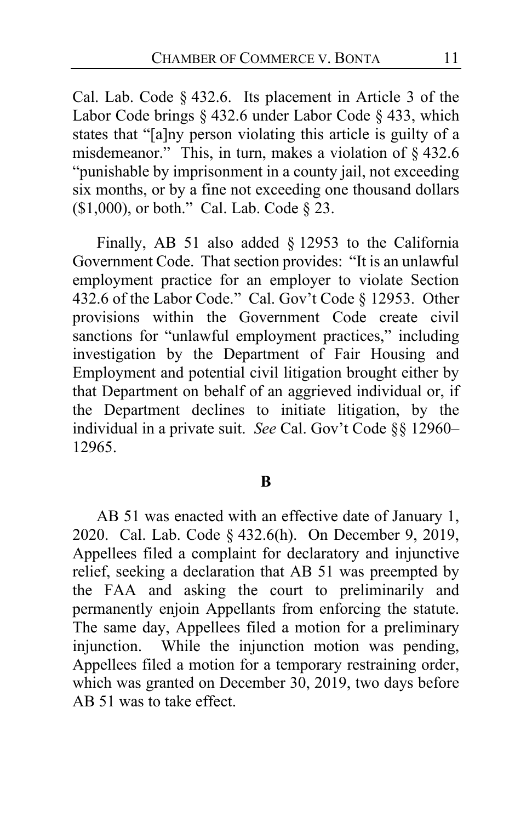Cal. Lab. Code § 432.6. Its placement in Article 3 of the Labor Code brings § 432.6 under Labor Code § 433, which states that "[a]ny person violating this article is guilty of a misdemeanor." This, in turn, makes a violation of § 432.6 "punishable by imprisonment in a county jail, not exceeding six months, or by a fine not exceeding one thousand dollars (\$1,000), or both." Cal. Lab. Code § 23.

Finally, AB 51 also added § 12953 to the California Government Code. That section provides: "It is an unlawful employment practice for an employer to violate Section 432.6 of the Labor Code." Cal. Gov't Code § 12953. Other provisions within the Government Code create civil sanctions for "unlawful employment practices," including investigation by the Department of Fair Housing and Employment and potential civil litigation brought either by that Department on behalf of an aggrieved individual or, if the Department declines to initiate litigation, by the individual in a private suit. *See* Cal. Gov't Code §§ 12960– 12965.

# **B**

AB 51 was enacted with an effective date of January 1, 2020. Cal. Lab. Code § 432.6(h). On December 9, 2019, Appellees filed a complaint for declaratory and injunctive relief, seeking a declaration that AB 51 was preempted by the FAA and asking the court to preliminarily and permanently enjoin Appellants from enforcing the statute. The same day, Appellees filed a motion for a preliminary injunction. While the injunction motion was pending, Appellees filed a motion for a temporary restraining order, which was granted on December 30, 2019, two days before AB 51 was to take effect.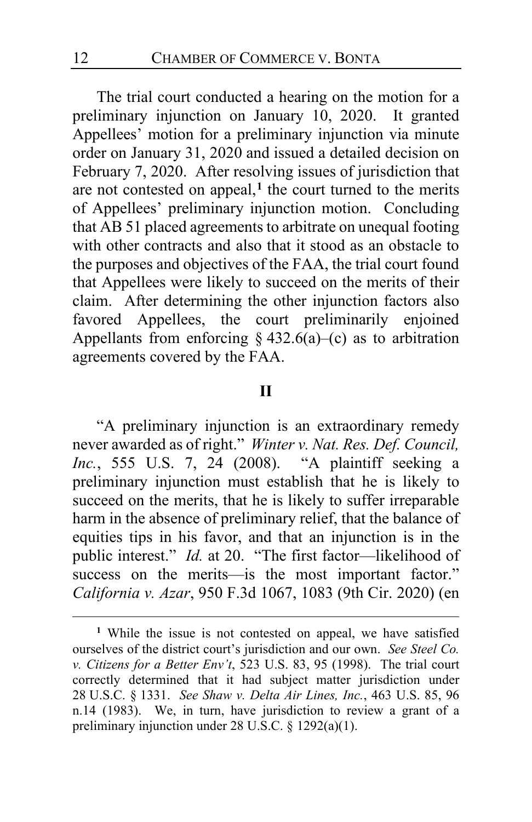The trial court conducted a hearing on the motion for a preliminary injunction on January 10, 2020. It granted Appellees' motion for a preliminary injunction via minute order on January 31, 2020 and issued a detailed decision on February 7, 2020. After resolving issues of jurisdiction that are not contested on appeal,**[1](#page-11-0)** the court turned to the merits of Appellees' preliminary injunction motion. Concluding that AB 51 placed agreements to arbitrate on unequal footing with other contracts and also that it stood as an obstacle to the purposes and objectives of the FAA, the trial court found that Appellees were likely to succeed on the merits of their claim. After determining the other injunction factors also favored Appellees, the court preliminarily enjoined Appellants from enforcing  $\S$  432.6(a)–(c) as to arbitration agreements covered by the FAA.

# **II**

"A preliminary injunction is an extraordinary remedy never awarded as of right." *Winter v. Nat. Res. Def. Council, Inc.*, 555 U.S. 7, 24 (2008). "A plaintiff seeking a preliminary injunction must establish that he is likely to succeed on the merits, that he is likely to suffer irreparable harm in the absence of preliminary relief, that the balance of equities tips in his favor, and that an injunction is in the public interest." *Id.* at 20. "The first factor—likelihood of success on the merits—is the most important factor." *California v. Azar*, 950 F.3d 1067, 1083 (9th Cir. 2020) (en

<span id="page-11-0"></span>**<sup>1</sup>** While the issue is not contested on appeal, we have satisfied ourselves of the district court's jurisdiction and our own. *See Steel Co. v. Citizens for a Better Env't*, 523 U.S. 83, 95 (1998). The trial court correctly determined that it had subject matter jurisdiction under 28 U.S.C. § 1331. *See Shaw v. Delta Air Lines, Inc.*, 463 U.S. 85, 96 n.14 (1983). We, in turn, have jurisdiction to review a grant of a preliminary injunction under 28 U.S.C. § 1292(a)(1).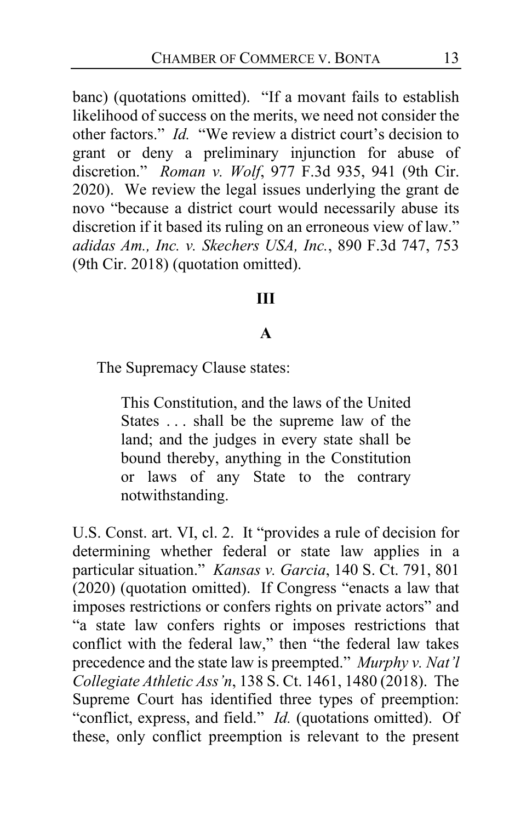banc) (quotations omitted). "If a movant fails to establish likelihood of success on the merits, we need not consider the other factors." *Id.* "We review a district court's decision to grant or deny a preliminary injunction for abuse of discretion." *Roman v. Wolf*, 977 F.3d 935, 941 (9th Cir. 2020). We review the legal issues underlying the grant de novo "because a district court would necessarily abuse its discretion if it based its ruling on an erroneous view of law." *adidas Am., Inc. v. Skechers USA, Inc.*, 890 F.3d 747, 753 (9th Cir. 2018) (quotation omitted).

## **III**

# **A**

The Supremacy Clause states:

This Constitution, and the laws of the United States . . . shall be the supreme law of the land; and the judges in every state shall be bound thereby, anything in the Constitution or laws of any State to the contrary notwithstanding.

U.S. Const. art. VI, cl. 2. It "provides a rule of decision for determining whether federal or state law applies in a particular situation." *Kansas v. Garcia*, 140 S. Ct. 791, 801 (2020) (quotation omitted). If Congress "enacts a law that imposes restrictions or confers rights on private actors" and "a state law confers rights or imposes restrictions that conflict with the federal law," then "the federal law takes precedence and the state law is preempted." *Murphy v. Nat'l Collegiate Athletic Ass'n*, 138 S. Ct. 1461, 1480 (2018). The Supreme Court has identified three types of preemption: "conflict, express, and field." *Id.* (quotations omitted). Of these, only conflict preemption is relevant to the present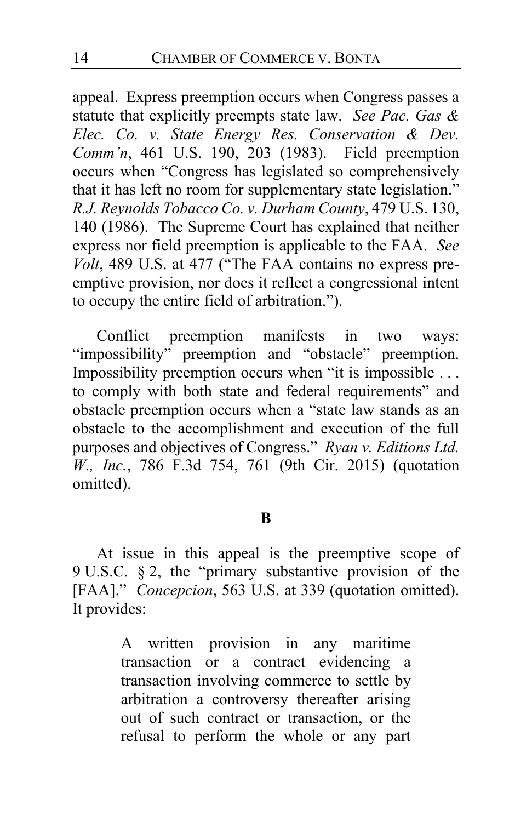appeal. Express preemption occurs when Congress passes a statute that explicitly preempts state law. *See Pac. Gas & Elec. Co. v. State Energy Res. Conservation & Dev. Comm'n*, 461 U.S. 190, 203 (1983). Field preemption occurs when "Congress has legislated so comprehensively that it has left no room for supplementary state legislation." *R.J. Reynolds Tobacco Co. v. Durham County*, 479 U.S. 130, 140 (1986). The Supreme Court has explained that neither express nor field preemption is applicable to the FAA. *See Volt*, 489 U.S. at 477 ("The FAA contains no express preemptive provision, nor does it reflect a congressional intent to occupy the entire field of arbitration.").

Conflict preemption manifests in two ways: "impossibility" preemption and "obstacle" preemption. Impossibility preemption occurs when "it is impossible . . . to comply with both state and federal requirements" and obstacle preemption occurs when a "state law stands as an obstacle to the accomplishment and execution of the full purposes and objectives of Congress." *Ryan v. Editions Ltd. W., Inc.*, 786 F.3d 754, 761 (9th Cir. 2015) (quotation omitted).

# **B**

At issue in this appeal is the preemptive scope of 9 U.S.C. § 2, the "primary substantive provision of the [FAA]." *Concepcion*, 563 U.S. at 339 (quotation omitted). It provides:

> A written provision in any maritime transaction or a contract evidencing a transaction involving commerce to settle by arbitration a controversy thereafter arising out of such contract or transaction, or the refusal to perform the whole or any part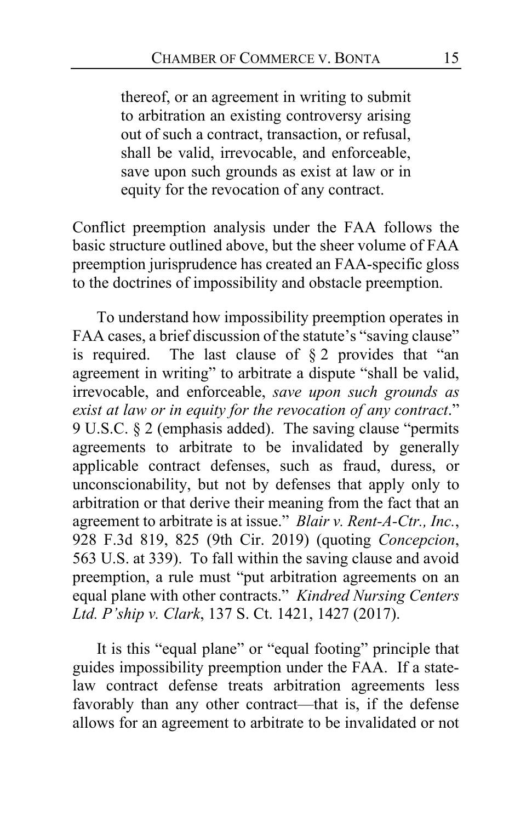thereof, or an agreement in writing to submit to arbitration an existing controversy arising out of such a contract, transaction, or refusal, shall be valid, irrevocable, and enforceable, save upon such grounds as exist at law or in equity for the revocation of any contract.

Conflict preemption analysis under the FAA follows the basic structure outlined above, but the sheer volume of FAA preemption jurisprudence has created an FAA-specific gloss to the doctrines of impossibility and obstacle preemption.

To understand how impossibility preemption operates in FAA cases, a brief discussion of the statute's "saving clause" is required. The last clause of  $\S 2$  provides that "an agreement in writing" to arbitrate a dispute "shall be valid, irrevocable, and enforceable, *save upon such grounds as exist at law or in equity for the revocation of any contract*." 9 U.S.C. § 2 (emphasis added). The saving clause "permits agreements to arbitrate to be invalidated by generally applicable contract defenses, such as fraud, duress, or unconscionability, but not by defenses that apply only to arbitration or that derive their meaning from the fact that an agreement to arbitrate is at issue." *Blair v. Rent-A-Ctr., Inc.*, 928 F.3d 819, 825 (9th Cir. 2019) (quoting *Concepcion*, 563 U.S. at 339). To fall within the saving clause and avoid preemption, a rule must "put arbitration agreements on an equal plane with other contracts." *Kindred Nursing Centers Ltd. P'ship v. Clark*, 137 S. Ct. 1421, 1427 (2017).

It is this "equal plane" or "equal footing" principle that guides impossibility preemption under the FAA. If a statelaw contract defense treats arbitration agreements less favorably than any other contract—that is, if the defense allows for an agreement to arbitrate to be invalidated or not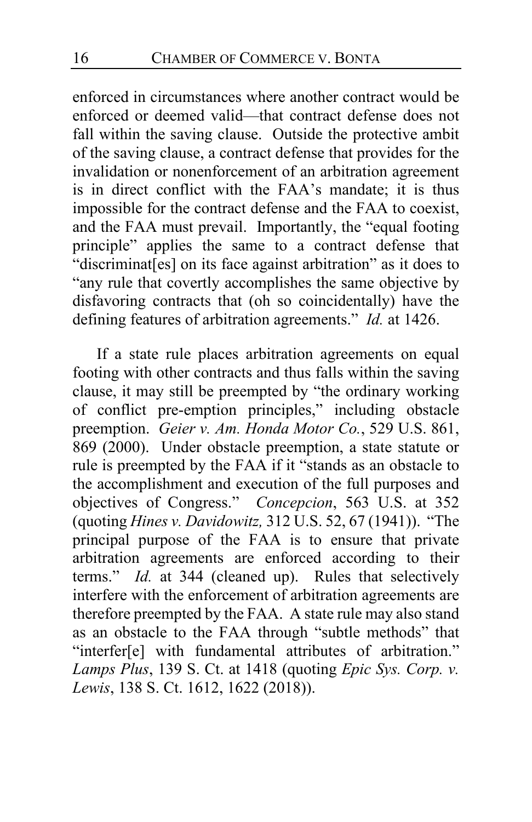enforced in circumstances where another contract would be enforced or deemed valid—that contract defense does not fall within the saving clause. Outside the protective ambit of the saving clause, a contract defense that provides for the invalidation or nonenforcement of an arbitration agreement is in direct conflict with the FAA's mandate; it is thus impossible for the contract defense and the FAA to coexist, and the FAA must prevail. Importantly, the "equal footing principle" applies the same to a contract defense that "discriminat[es] on its face against arbitration" as it does to "any rule that covertly accomplishes the same objective by disfavoring contracts that (oh so coincidentally) have the defining features of arbitration agreements." *Id.* at 1426.

If a state rule places arbitration agreements on equal footing with other contracts and thus falls within the saving clause, it may still be preempted by "the ordinary working of conflict pre-emption principles," including obstacle preemption. *Geier v. Am. Honda Motor Co.*, 529 U.S. 861, 869 (2000). Under obstacle preemption, a state statute or rule is preempted by the FAA if it "stands as an obstacle to the accomplishment and execution of the full purposes and objectives of Congress." *Concepcion*, 563 U.S. at 352 (quoting *Hines v. Davidowitz,* 312 U.S. 52, 67 (1941)). "The principal purpose of the FAA is to ensure that private arbitration agreements are enforced according to their terms." *Id.* at 344 (cleaned up). Rules that selectively interfere with the enforcement of arbitration agreements are therefore preempted by the FAA. A state rule may also stand as an obstacle to the FAA through "subtle methods" that "interfer[e] with fundamental attributes of arbitration." *Lamps Plus*, 139 S. Ct. at 1418 (quoting *Epic Sys. Corp. v. Lewis*, 138 S. Ct. 1612, 1622 (2018)).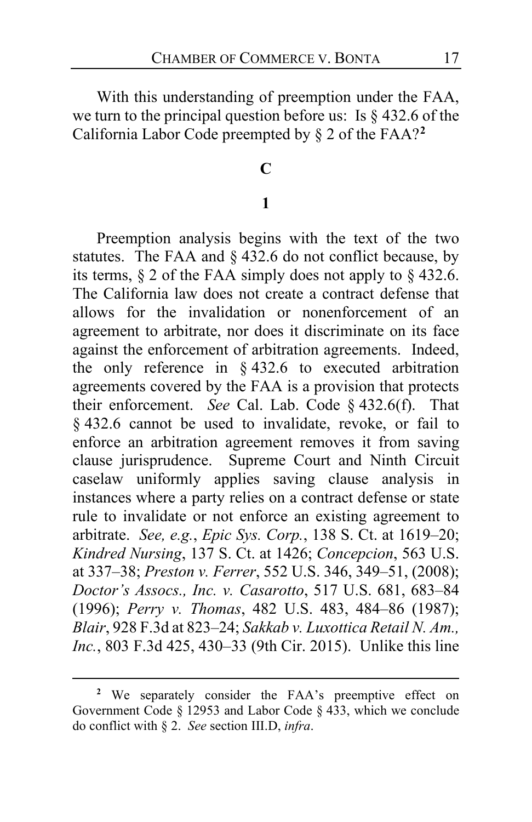With this understanding of preemption under the FAA, we turn to the principal question before us: Is  $\S$  432.6 of the California Labor Code preempted by § 2 of the FAA?**[2](#page-16-0)**

## **C**

## **1**

Preemption analysis begins with the text of the two statutes. The FAA and § 432.6 do not conflict because, by its terms,  $\S$  2 of the FAA simply does not apply to  $\S$  432.6. The California law does not create a contract defense that allows for the invalidation or nonenforcement of an agreement to arbitrate, nor does it discriminate on its face against the enforcement of arbitration agreements. Indeed, the only reference in § 432.6 to executed arbitration agreements covered by the FAA is a provision that protects their enforcement. *See* Cal. Lab. Code § 432.6(f).That § 432.6 cannot be used to invalidate, revoke, or fail to enforce an arbitration agreement removes it from saving clause jurisprudence. Supreme Court and Ninth Circuit caselaw uniformly applies saving clause analysis in instances where a party relies on a contract defense or state rule to invalidate or not enforce an existing agreement to arbitrate. *See, e.g.*, *Epic Sys. Corp.*, 138 S. Ct. at 1619–20; *Kindred Nursing*, 137 S. Ct. at 1426; *Concepcion*, 563 U.S. at 337–38; *Preston v. Ferrer*, 552 U.S. 346, 349–51, (2008); *Doctor's Assocs., Inc. v. Casarotto*, 517 U.S. 681, 683–84 (1996); *Perry v. Thomas*, 482 U.S. 483, 484–86 (1987); *Blair*, 928 F.3d at 823–24; *Sakkab v. Luxottica Retail N. Am., Inc.*, 803 F.3d 425, 430–33 (9th Cir. 2015). Unlike this line

<span id="page-16-0"></span>**<sup>2</sup>** We separately consider the FAA's preemptive effect on Government Code § 12953 and Labor Code § 433, which we conclude do conflict with § 2. *See* section III.D, *infra*.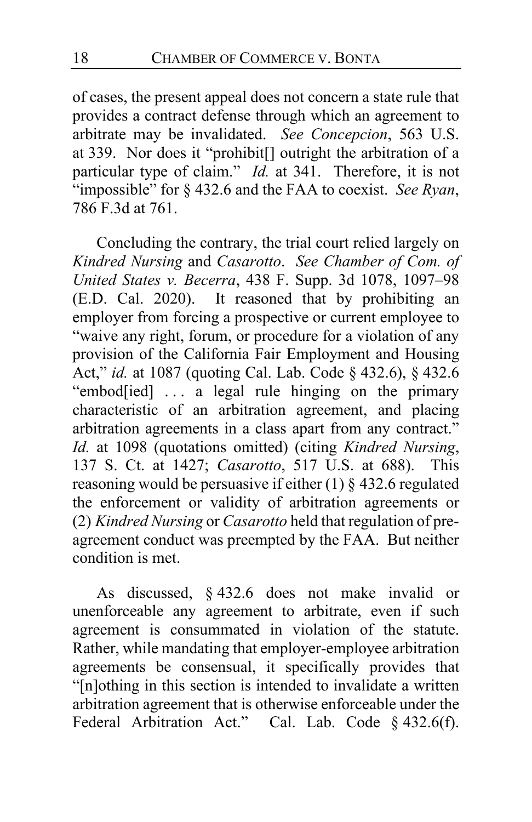of cases, the present appeal does not concern a state rule that provides a contract defense through which an agreement to arbitrate may be invalidated. *See Concepcion*, 563 U.S. at 339. Nor does it "prohibit[] outright the arbitration of a particular type of claim." *Id.* at 341. Therefore, it is not "impossible" for § 432.6 and the FAA to coexist. *See Ryan*, 786 F.3d at 761.

Concluding the contrary, the trial court relied largely on *Kindred Nursing* and *Casarotto*. *See Chamber of Com. of United States v. Becerra*, 438 F. Supp. 3d 1078, 1097–98 (E.D. Cal. 2020). It reasoned that by prohibiting an employer from forcing a prospective or current employee to "waive any right, forum, or procedure for a violation of any provision of the California Fair Employment and Housing Act," *id.* at 1087 (quoting Cal. Lab. Code § 432.6), § 432.6 "embod[ied] ... a legal rule hinging on the primary characteristic of an arbitration agreement, and placing arbitration agreements in a class apart from any contract." *Id.* at 1098 (quotations omitted) (citing *Kindred Nursing*, 137 S. Ct. at 1427; *Casarotto*, 517 U.S. at 688). This reasoning would be persuasive if either (1) § 432.6 regulated the enforcement or validity of arbitration agreements or (2) *Kindred Nursing* or *Casarotto* held that regulation of preagreement conduct was preempted by the FAA. But neither condition is met.

As discussed, § 432.6 does not make invalid or unenforceable any agreement to arbitrate, even if such agreement is consummated in violation of the statute. Rather, while mandating that employer-employee arbitration agreements be consensual, it specifically provides that "[n]othing in this section is intended to invalidate a written arbitration agreement that is otherwise enforceable under the Federal Arbitration Act." Cal. Lab. Code § 432.6(f).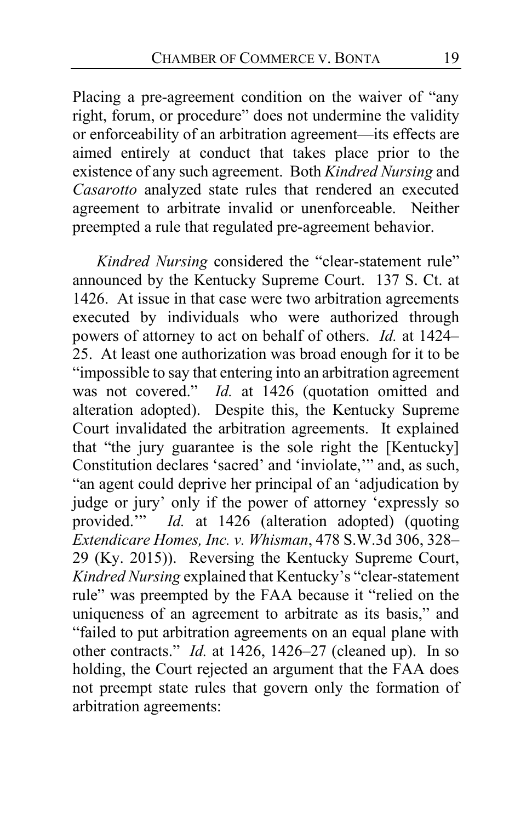Placing a pre-agreement condition on the waiver of "any right, forum, or procedure" does not undermine the validity or enforceability of an arbitration agreement—its effects are aimed entirely at conduct that takes place prior to the existence of any such agreement. Both *Kindred Nursing* and *Casarotto* analyzed state rules that rendered an executed agreement to arbitrate invalid or unenforceable. Neither preempted a rule that regulated pre-agreement behavior.

*Kindred Nursing* considered the "clear-statement rule" announced by the Kentucky Supreme Court. 137 S. Ct. at 1426. At issue in that case were two arbitration agreements executed by individuals who were authorized through powers of attorney to act on behalf of others. *Id.* at 1424– 25. At least one authorization was broad enough for it to be "impossible to say that entering into an arbitration agreement<br>was not covered."  $Id.$  at 1426 (quotation omitted and Id. at 1426 (quotation omitted and alteration adopted). Despite this, the Kentucky Supreme Court invalidated the arbitration agreements. It explained that "the jury guarantee is the sole right the [Kentucky] Constitution declares 'sacred' and 'inviolate,'" and, as such, "an agent could deprive her principal of an 'adjudication by judge or jury' only if the power of attorney 'expressly so provided."<sup>*Id.* at 1426 (alteration adopted) (quoting</sup> *Extendicare Homes, Inc. v. Whisman*, 478 S.W.3d 306, 328– 29 (Ky. 2015)). Reversing the Kentucky Supreme Court, *Kindred Nursing* explained that Kentucky's "clear-statement rule" was preempted by the FAA because it "relied on the uniqueness of an agreement to arbitrate as its basis," and "failed to put arbitration agreements on an equal plane with other contracts." *Id.* at 1426, 1426–27 (cleaned up). In so holding, the Court rejected an argument that the FAA does not preempt state rules that govern only the formation of arbitration agreements: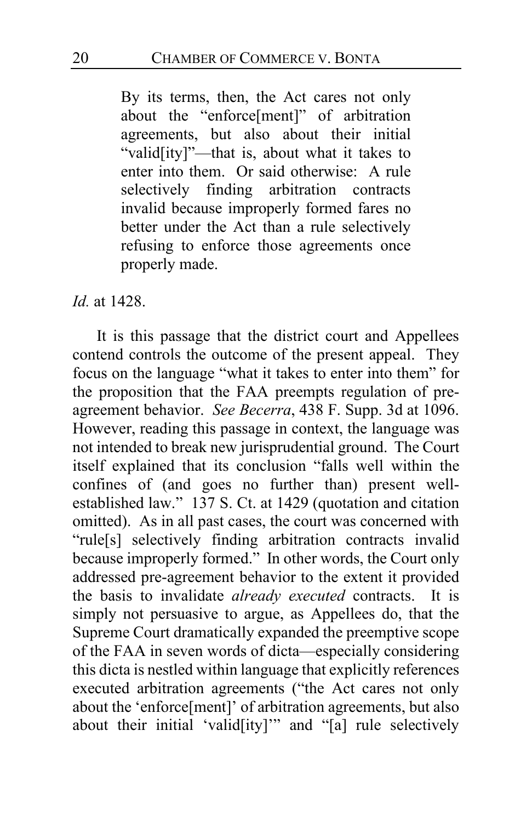By its terms, then, the Act cares not only about the "enforce[ment]" of arbitration agreements, but also about their initial "valid[ity]"—that is, about what it takes to enter into them. Or said otherwise: A rule selectively finding arbitration contracts invalid because improperly formed fares no better under the Act than a rule selectively refusing to enforce those agreements once properly made.

#### *Id.* at 1428.

<span id="page-19-0"></span>It is this passage that the district court and Appellees contend controls the outcome of the present appeal. They focus on the language "what it takes to enter into them" for the proposition that the FAA preempts regulation of preagreement behavior. *See Becerra*, 438 F. Supp. 3d at 1096. However, reading this passage in context, the language was not intended to break new jurisprudential ground. The Court itself explained that its conclusion "falls well within the confines of (and goes no further than) present wellestablished law." 137 S. Ct. at 1429 (quotation and citation omitted). As in all past cases, the court was concerned with "rule[s] selectively finding arbitration contracts invalid because improperly formed." In other words, the Court only addressed pre-agreement behavior to the extent it provided the basis to invalidate *already executed* contracts. It is simply not persuasive to argue, as Appellees do, that the Supreme Court dramatically expanded the preemptive scope of the FAA in seven words of dicta—especially considering this dicta is nestled within language that explicitly references executed arbitration agreements ("the Act cares not only about the 'enforce[ment]' of arbitration agreements, but also about their initial 'valid[ity]'" and "[a] rule selectively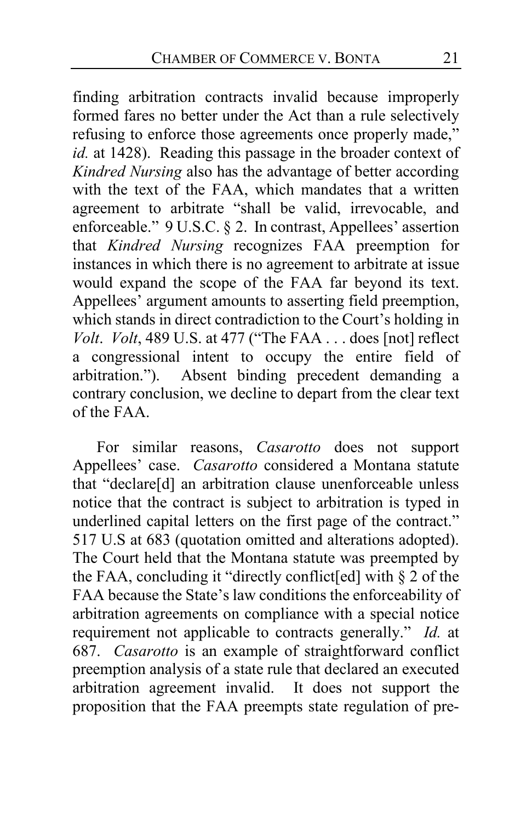finding arbitration contracts invalid because improperly formed fares no better under the Act than a rule selectively refusing to enforce those agreements once properly made," *id.* at 1428). Reading this passage in the broader context of *Kindred Nursing* also has the advantage of better according with the text of the FAA, which mandates that a written agreement to arbitrate "shall be valid, irrevocable, and enforceable." 9 U.S.C. § 2. In contrast, Appellees' assertion that *Kindred Nursing* recognizes FAA preemption for instances in which there is no agreement to arbitrate at issue would expand the scope of the FAA far beyond its text. Appellees' argument amounts to asserting field preemption, which stands in direct contradiction to the Court's holding in *Volt*. *Volt*, 489 U.S. at 477 ("The FAA . . . does [not] reflect a congressional intent to occupy the entire field of arbitration."). Absent binding precedent demanding a Absent binding precedent demanding a contrary conclusion, we decline to depart from the clear text of the FAA.

For similar reasons, *Casarotto* does not support Appellees' case. *Casarotto* considered a Montana statute that "declare[d] an arbitration clause unenforceable unless notice that the contract is subject to arbitration is typed in underlined capital letters on the first page of the contract." 517 U.S at 683 (quotation omitted and alterations adopted). The Court held that the Montana statute was preempted by the FAA, concluding it "directly conflict[ed] with § 2 of the FAA because the State's law conditions the enforceability of arbitration agreements on compliance with a special notice requirement not applicable to contracts generally." *Id.* at 687. *Casarotto* is an example of straightforward conflict preemption analysis of a state rule that declared an executed arbitration agreement invalid. It does not support the proposition that the FAA preempts state regulation of pre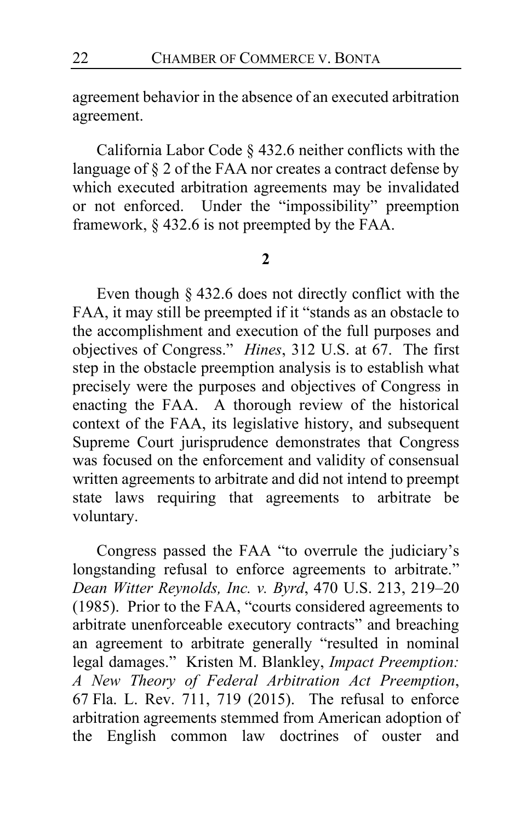agreement behavior in the absence of an executed arbitration agreement.

California Labor Code § 432.6 neither conflicts with the language of § 2 of the FAA nor creates a contract defense by which executed arbitration agreements may be invalidated or not enforced. Under the "impossibility" preemption framework, § 432.6 is not preempted by the FAA.

### **2**

Even though § 432.6 does not directly conflict with the FAA, it may still be preempted if it "stands as an obstacle to the accomplishment and execution of the full purposes and objectives of Congress." *Hines*, 312 U.S. at 67. The first step in the obstacle preemption analysis is to establish what precisely were the purposes and objectives of Congress in enacting the FAA. A thorough review of the historical context of the FAA, its legislative history, and subsequent Supreme Court jurisprudence demonstrates that Congress was focused on the enforcement and validity of consensual written agreements to arbitrate and did not intend to preempt state laws requiring that agreements to arbitrate be voluntary.

Congress passed the FAA "to overrule the judiciary's longstanding refusal to enforce agreements to arbitrate." *Dean Witter Reynolds, Inc. v. Byrd*, 470 U.S. 213, 219–20 (1985). Prior to the FAA, "courts considered agreements to arbitrate unenforceable executory contracts" and breaching an agreement to arbitrate generally "resulted in nominal legal damages." Kristen M. Blankley, *Impact Preemption: A New Theory of Federal Arbitration Act Preemption*, 67 Fla. L. Rev. 711, 719 (2015). The refusal to enforce arbitration agreements stemmed from American adoption of the English common law doctrines of ouster and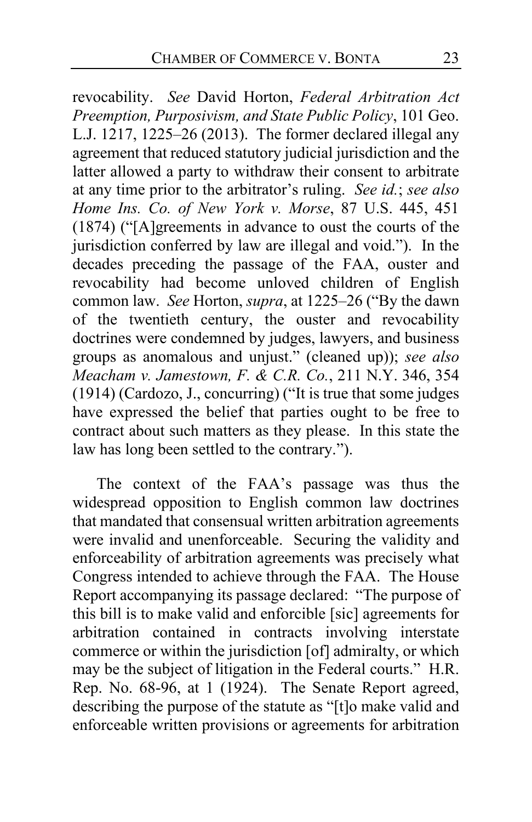revocability. *See* David Horton, *Federal Arbitration Act Preemption, Purposivism, and State Public Policy*, 101 Geo. L.J. 1217, 1225–26 (2013). The former declared illegal any agreement that reduced statutory judicial jurisdiction and the latter allowed a party to withdraw their consent to arbitrate at any time prior to the arbitrator's ruling. *See id.*; *see also Home Ins. Co. of New York v. Morse*, 87 U.S. 445, 451 (1874) ("[A]greements in advance to oust the courts of the jurisdiction conferred by law are illegal and void."). In the decades preceding the passage of the FAA, ouster and revocability had become unloved children of English common law. *See* Horton, *supra*, at 1225–26 ("By the dawn of the twentieth century, the ouster and revocability doctrines were condemned by judges, lawyers, and business groups as anomalous and unjust." (cleaned up)); *see also Meacham v. Jamestown, F. & C.R. Co.*, 211 N.Y. 346, 354 (1914) (Cardozo, J., concurring) ("It is true that some judges have expressed the belief that parties ought to be free to contract about such matters as they please. In this state the law has long been settled to the contrary.").

The context of the FAA's passage was thus the widespread opposition to English common law doctrines that mandated that consensual written arbitration agreements were invalid and unenforceable. Securing the validity and enforceability of arbitration agreements was precisely what Congress intended to achieve through the FAA. The House Report accompanying its passage declared: "The purpose of this bill is to make valid and enforcible [sic] agreements for arbitration contained in contracts involving interstate commerce or within the jurisdiction [of] admiralty, or which may be the subject of litigation in the Federal courts." H.R. Rep. No. 68-96, at 1 (1924). The Senate Report agreed, describing the purpose of the statute as "[t]o make valid and enforceable written provisions or agreements for arbitration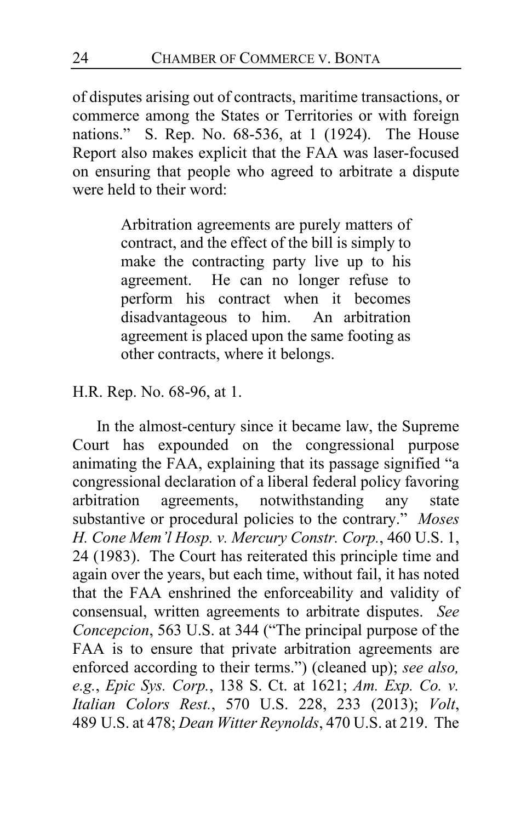of disputes arising out of contracts, maritime transactions, or commerce among the States or Territories or with foreign nations." S. Rep. No. 68-536, at 1 (1924). The House Report also makes explicit that the FAA was laser-focused on ensuring that people who agreed to arbitrate a dispute were held to their word:

> Arbitration agreements are purely matters of contract, and the effect of the bill is simply to make the contracting party live up to his agreement. He can no longer refuse to perform his contract when it becomes disadvantageous to him. An arbitration agreement is placed upon the same footing as other contracts, where it belongs.

H.R. Rep. No. 68-96, at 1.

In the almost-century since it became law, the Supreme Court has expounded on the congressional purpose animating the FAA, explaining that its passage signified "a congressional declaration of a liberal federal policy favoring agreements, notwithstanding any state substantive or procedural policies to the contrary." *Moses H. Cone Mem'l Hosp. v. Mercury Constr. Corp.*, 460 U.S. 1, 24 (1983). The Court has reiterated this principle time and again over the years, but each time, without fail, it has noted that the FAA enshrined the enforceability and validity of consensual, written agreements to arbitrate disputes. *See Concepcion*, 563 U.S. at 344 ("The principal purpose of the FAA is to ensure that private arbitration agreements are enforced according to their terms.") (cleaned up); *see also, e.g.*, *Epic Sys. Corp.*, 138 S. Ct. at 1621; *Am. Exp. Co. v. Italian Colors Rest.*, 570 U.S. 228, 233 (2013); *Volt*, 489 U.S. at 478; *Dean Witter Reynolds*, 470 U.S. at 219. The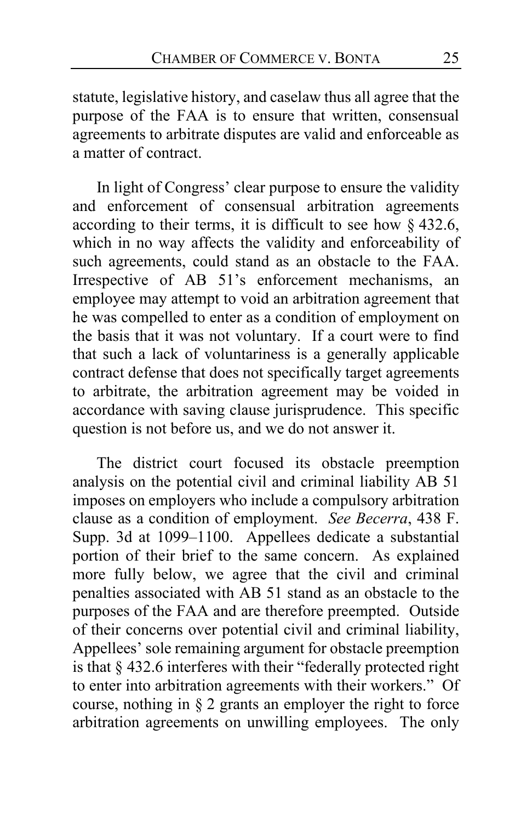statute, legislative history, and caselaw thus all agree that the purpose of the FAA is to ensure that written, consensual agreements to arbitrate disputes are valid and enforceable as a matter of contract.

In light of Congress' clear purpose to ensure the validity and enforcement of consensual arbitration agreements according to their terms, it is difficult to see how § 432.6, which in no way affects the validity and enforceability of such agreements, could stand as an obstacle to the FAA. Irrespective of AB 51's enforcement mechanisms, an employee may attempt to void an arbitration agreement that he was compelled to enter as a condition of employment on the basis that it was not voluntary. If a court were to find that such a lack of voluntariness is a generally applicable contract defense that does not specifically target agreements to arbitrate, the arbitration agreement may be voided in accordance with saving clause jurisprudence. This specific question is not before us, and we do not answer it.

<span id="page-24-0"></span>The district court focused its obstacle preemption analysis on the potential civil and criminal liability AB 51 imposes on employers who include a compulsory arbitration clause as a condition of employment. *See Becerra*, 438 F. Supp. 3d at 1099–1100. Appellees dedicate a substantial portion of their brief to the same concern. As explained more fully below, we agree that the civil and criminal penalties associated with AB 51 stand as an obstacle to the purposes of the FAA and are therefore preempted. Outside of their concerns over potential civil and criminal liability, Appellees' sole remaining argument for obstacle preemption is that § 432.6 interferes with their "federally protected right to enter into arbitration agreements with their workers." Of course, nothing in § 2 grants an employer the right to force arbitration agreements on unwilling employees. The only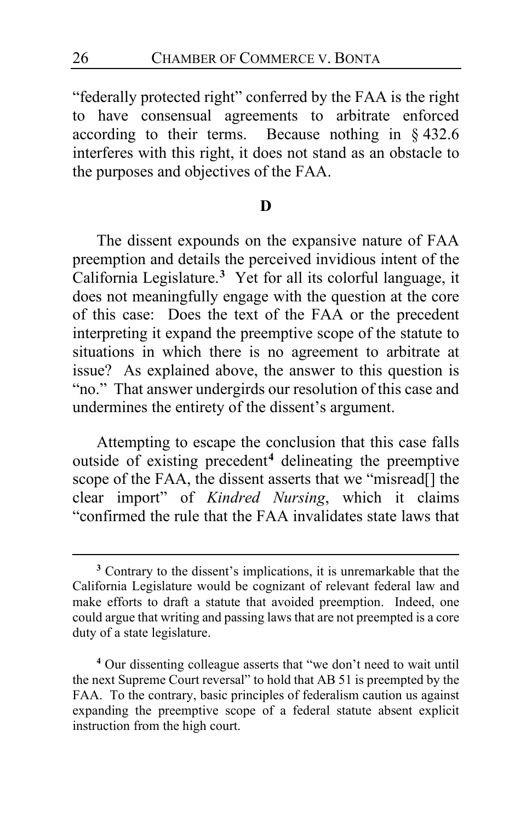"federally protected right" conferred by the FAA is the right to have consensual agreements to arbitrate enforced according to their terms. Because nothing in § 432.6 interferes with this right, it does not stand as an obstacle to the purposes and objectives of the FAA.

## <span id="page-25-2"></span>**D**

The dissent expounds on the expansive nature of FAA preemption and details the perceived invidious intent of the California Legislature.**[3](#page-25-0)** Yet for all its colorful language, it does not meaningfully engage with the question at the core of this case: Does the text of the FAA or the precedent interpreting it expand the preemptive scope of the statute to situations in which there is no agreement to arbitrate at issue? As explained above, the answer to this question is "no." That answer undergirds our resolution of this case and undermines the entirety of the dissent's argument.

Attempting to escape the conclusion that this case falls outside of existing precedent**[4](#page-25-1)** delineating the preemptive scope of the FAA, the dissent asserts that we "misread<sup>[]</sup> the clear import" of *Kindred Nursing*, which it claims "confirmed the rule that the FAA invalidates state laws that

<span id="page-25-1"></span>**<sup>4</sup>** Our dissenting colleague asserts that "we don't need to wait until the next Supreme Court reversal" to hold that AB 51 is preempted by the FAA. To the contrary, basic principles of federalism caution us against expanding the preemptive scope of a federal statute absent explicit instruction from the high court.

<span id="page-25-0"></span>**<sup>3</sup>** Contrary to the dissent's implications, it is unremarkable that the California Legislature would be cognizant of relevant federal law and make efforts to draft a statute that avoided preemption. Indeed, one could argue that writing and passing laws that are not preempted is a core duty of a state legislature.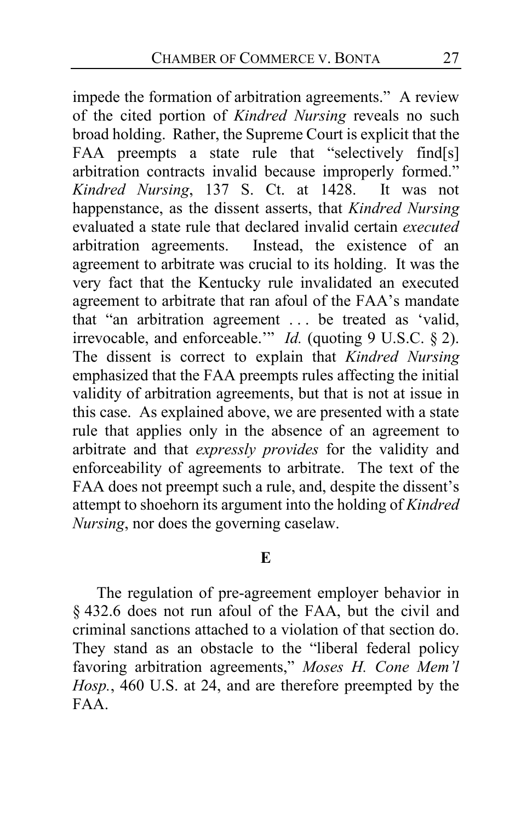<span id="page-26-0"></span>impede the formation of arbitration agreements." A review of the cited portion of *Kindred Nursing* reveals no such broad holding. Rather, the Supreme Court is explicit that the FAA preempts a state rule that "selectively find[s] arbitration contracts invalid because improperly formed." *Kindred Nursing*, 137 S. Ct. at 1428. It was not happenstance, as the dissent asserts, that *Kindred Nursing* evaluated a state rule that declared invalid certain *executed* Instead, the existence of an agreement to arbitrate was crucial to its holding. It was the very fact that the Kentucky rule invalidated an executed agreement to arbitrate that ran afoul of the FAA's mandate that "an arbitration agreement . . . be treated as 'valid, irrevocable, and enforceable.'" *Id.* (quoting 9 U.S.C. § 2). The dissent is correct to explain that *Kindred Nursing* emphasized that the FAA preempts rules affecting the initial validity of arbitration agreements, but that is not at issue in this case. As explained above, we are presented with a state rule that applies only in the absence of an agreement to arbitrate and that *expressly provides* for the validity and enforceability of agreements to arbitrate. The text of the FAA does not preempt such a rule, and, despite the dissent's attempt to shoehorn its argument into the holding of *Kindred Nursing*, nor does the governing caselaw.

### **E**

The regulation of pre-agreement employer behavior in § 432.6 does not run afoul of the FAA, but the civil and criminal sanctions attached to a violation of that section do. They stand as an obstacle to the "liberal federal policy favoring arbitration agreements," *Moses H. Cone Mem'l Hosp.*, 460 U.S. at 24, and are therefore preempted by the FAA.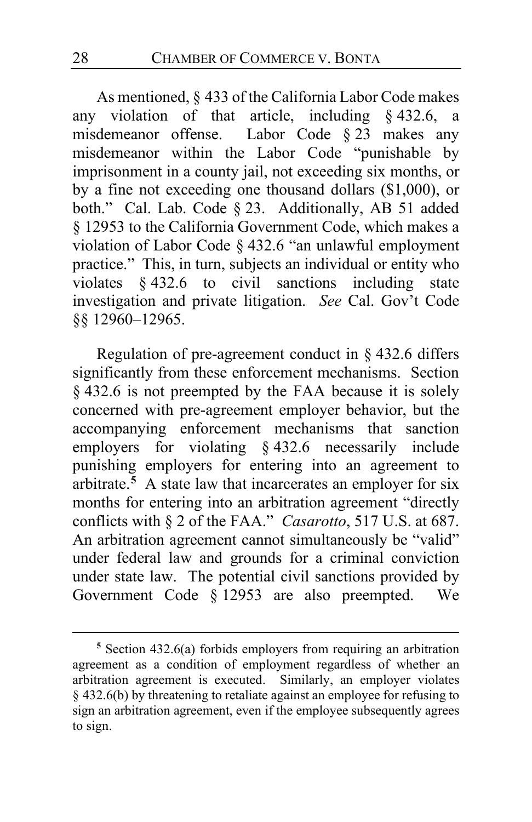As mentioned, § 433 of the California Labor Code makes any violation of that article, including § 432.6, a misdemeanor offense. Labor Code § 23 makes any misdemeanor within the Labor Code "punishable by imprisonment in a county jail, not exceeding six months, or by a fine not exceeding one thousand dollars (\$1,000), or both." Cal. Lab. Code § 23. Additionally, AB 51 added § 12953 to the California Government Code, which makes a violation of Labor Code § 432.6 "an unlawful employment practice." This, in turn, subjects an individual or entity who violates § 432.6 to civil sanctions including state investigation and private litigation. *See* Cal. Gov't Code §§ 12960–12965.

Regulation of pre-agreement conduct in § 432.6 differs significantly from these enforcement mechanisms. Section § 432.6 is not preempted by the FAA because it is solely concerned with pre-agreement employer behavior, but the accompanying enforcement mechanisms that sanction employers for violating § 432.6 necessarily include punishing employers for entering into an agreement to arbitrate.**[5](#page-27-0)** A state law that incarcerates an employer for six months for entering into an arbitration agreement "directly conflicts with § 2 of the FAA." *Casarotto*, 517 U.S. at 687. An arbitration agreement cannot simultaneously be "valid" under federal law and grounds for a criminal conviction under state law. The potential civil sanctions provided by Government Code § 12953 are also preempted. We

<span id="page-27-0"></span>**<sup>5</sup>** Section 432.6(a) forbids employers from requiring an arbitration agreement as a condition of employment regardless of whether an arbitration agreement is executed. Similarly, an employer violates § 432.6(b) by threatening to retaliate against an employee for refusing to sign an arbitration agreement, even if the employee subsequently agrees to sign.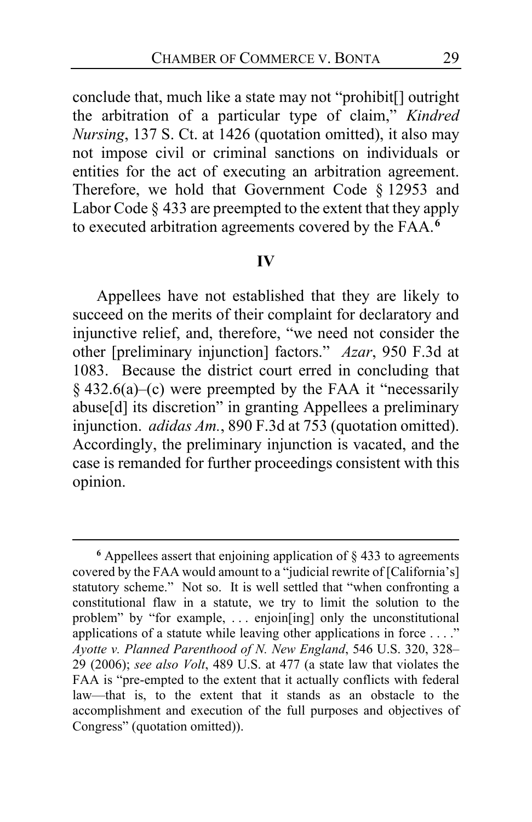conclude that, much like a state may not "prohibit[] outright the arbitration of a particular type of claim," *Kindred Nursing*, 137 S. Ct. at 1426 (quotation omitted), it also may not impose civil or criminal sanctions on individuals or entities for the act of executing an arbitration agreement. Therefore, we hold that Government Code § 12953 and Labor Code § 433 are preempted to the extent that they apply to executed arbitration agreements covered by the FAA.**[6](#page-28-0)**

#### **IV**

Appellees have not established that they are likely to succeed on the merits of their complaint for declaratory and injunctive relief, and, therefore, "we need not consider the other [preliminary injunction] factors." *Azar*, 950 F.3d at 1083. Because the district court erred in concluding that § 432.6(a)–(c) were preempted by the FAA it "necessarily abuse[d] its discretion" in granting Appellees a preliminary injunction. *adidas Am.*, 890 F.3d at 753 (quotation omitted). Accordingly, the preliminary injunction is vacated, and the case is remanded for further proceedings consistent with this opinion.

<span id="page-28-0"></span> $6$  Appellees assert that enjoining application of  $\S$  433 to agreements covered by the FAA would amount to a "judicial rewrite of [California's] statutory scheme." Not so. It is well settled that "when confronting a constitutional flaw in a statute, we try to limit the solution to the problem" by "for example, . . . enjoin[ing] only the unconstitutional applications of a statute while leaving other applications in force . . . ." *Ayotte v. Planned Parenthood of N. New England*, 546 U.S. 320, 328– 29 (2006); *see also Volt*, 489 U.S. at 477 (a state law that violates the FAA is "pre-empted to the extent that it actually conflicts with federal law—that is, to the extent that it stands as an obstacle to the accomplishment and execution of the full purposes and objectives of Congress" (quotation omitted)).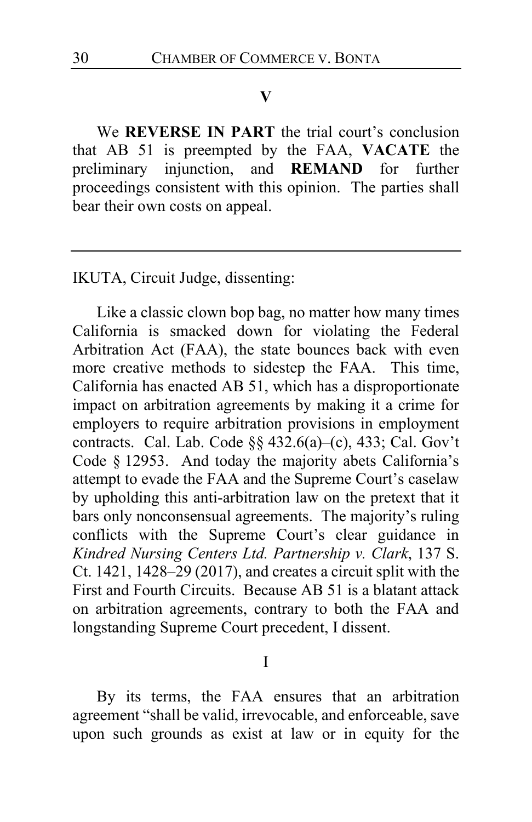#### **V**

We **REVERSE IN PART** the trial court's conclusion that AB 51 is preempted by the FAA, **VACATE** the preliminary injunction, and **REMAND** for further proceedings consistent with this opinion. The parties shall bear their own costs on appeal.

IKUTA, Circuit Judge, dissenting:

Like a classic clown bop bag, no matter how many times California is smacked down for violating the Federal Arbitration Act (FAA), the state bounces back with even more creative methods to sidestep the FAA. This time, California has enacted AB 51, which has a disproportionate impact on arbitration agreements by making it a crime for employers to require arbitration provisions in employment contracts. Cal. Lab. Code §§ 432.6(a)–(c), 433; Cal. Gov't Code § 12953. And today the majority abets California's attempt to evade the FAA and the Supreme Court's caselaw by upholding this anti-arbitration law on the pretext that it bars only nonconsensual agreements. The majority's ruling conflicts with the Supreme Court's clear guidance in *Kindred Nursing Centers Ltd. Partnership v. Clark*, 137 S. Ct. 1421, 1428–29 (2017), and creates a circuit split with the First and Fourth Circuits. Because AB 51 is a blatant attack on arbitration agreements, contrary to both the FAA and longstanding Supreme Court precedent, I dissent.

#### I

By its terms, the FAA ensures that an arbitration agreement "shall be valid, irrevocable, and enforceable, save upon such grounds as exist at law or in equity for the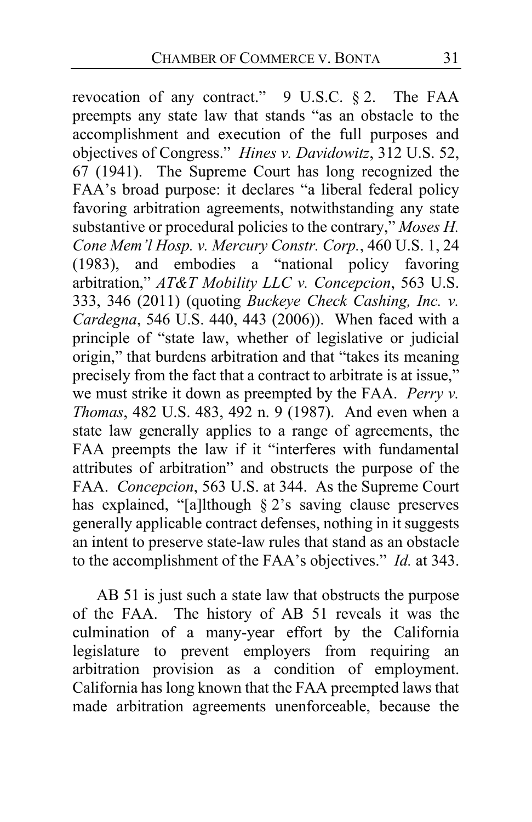revocation of any contract." 9 U.S.C. § 2. The FAA preempts any state law that stands "as an obstacle to the accomplishment and execution of the full purposes and objectives of Congress." *Hines v. Davidowitz*, 312 U.S. 52, 67 (1941). The Supreme Court has long recognized the FAA's broad purpose: it declares "a liberal federal policy favoring arbitration agreements, notwithstanding any state substantive or procedural policies to the contrary," *Moses H. Cone Mem'l Hosp. v. Mercury Constr. Corp.*, 460 U.S. 1, 24 (1983), and embodies a "national policy favoring arbitration," *AT&T Mobility LLC v. Concepcion*, 563 U.S. 333, 346 (2011) (quoting *Buckeye Check Cashing, Inc. v. Cardegna*, 546 U.S. 440, 443 (2006)). When faced with a principle of "state law, whether of legislative or judicial origin," that burdens arbitration and that "takes its meaning precisely from the fact that a contract to arbitrate is at issue," we must strike it down as preempted by the FAA. *Perry v. Thomas*, 482 U.S. 483, 492 n. 9 (1987). And even when a state law generally applies to a range of agreements, the FAA preempts the law if it "interferes with fundamental attributes of arbitration" and obstructs the purpose of the FAA. *Concepcion*, 563 U.S. at 344. As the Supreme Court has explained, "[a]lthough § 2's saving clause preserves generally applicable contract defenses, nothing in it suggests an intent to preserve state-law rules that stand as an obstacle to the accomplishment of the FAA's objectives." *Id.* at 343.

AB 51 is just such a state law that obstructs the purpose of the FAA. The history of AB 51 reveals it was the culmination of a many-year effort by the California legislature to prevent employers from requiring an arbitration provision as a condition of employment. California has long known that the FAA preempted laws that made arbitration agreements unenforceable, because the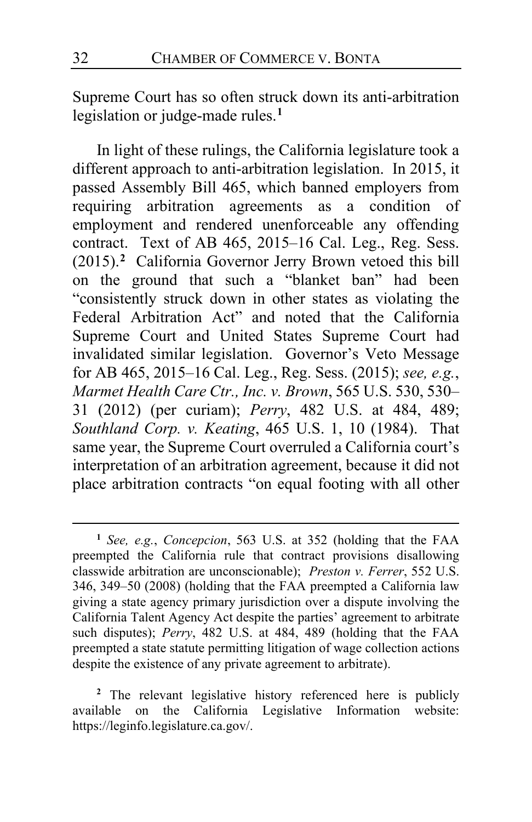Supreme Court has so often struck down its anti-arbitration legislation or judge-made rules.**[1](#page-31-0)**

In light of these rulings, the California legislature took a different approach to anti-arbitration legislation. In 2015, it passed Assembly Bill 465, which banned employers from requiring arbitration agreements as a condition of employment and rendered unenforceable any offending contract. Text of AB 465, 2015–16 Cal. Leg., Reg. Sess. (2015).**[2](#page-31-1)** California Governor Jerry Brown vetoed this bill on the ground that such a "blanket ban" had been "consistently struck down in other states as violating the Federal Arbitration Act" and noted that the California Supreme Court and United States Supreme Court had invalidated similar legislation. Governor's Veto Message for AB 465, 2015–16 Cal. Leg., Reg. Sess. (2015); *see, e.g.*, *Marmet Health Care Ctr., Inc. v. Brown*, 565 U.S. 530, 530– 31 (2012) (per curiam); *Perry*, 482 U.S. at 484, 489; *Southland Corp. v. Keating*, 465 U.S. 1, 10 (1984). That same year, the Supreme Court overruled a California court's interpretation of an arbitration agreement, because it did not place arbitration contracts "on equal footing with all other

<span id="page-31-0"></span>**<sup>1</sup>** *See, e.g.*, *Concepcion*, 563 U.S. at 352 (holding that the FAA preempted the California rule that contract provisions disallowing classwide arbitration are unconscionable); *Preston v. Ferrer*, 552 U.S. 346, 349–50 (2008) (holding that the FAA preempted a California law giving a state agency primary jurisdiction over a dispute involving the California Talent Agency Act despite the parties' agreement to arbitrate such disputes); *Perry*, 482 U.S. at 484, 489 (holding that the FAA preempted a state statute permitting litigation of wage collection actions despite the existence of any private agreement to arbitrate).

<span id="page-31-1"></span>**<sup>2</sup>** The relevant legislative history referenced here is publicly available on the California Legislative Information website: https://leginfo.legislature.ca.gov/.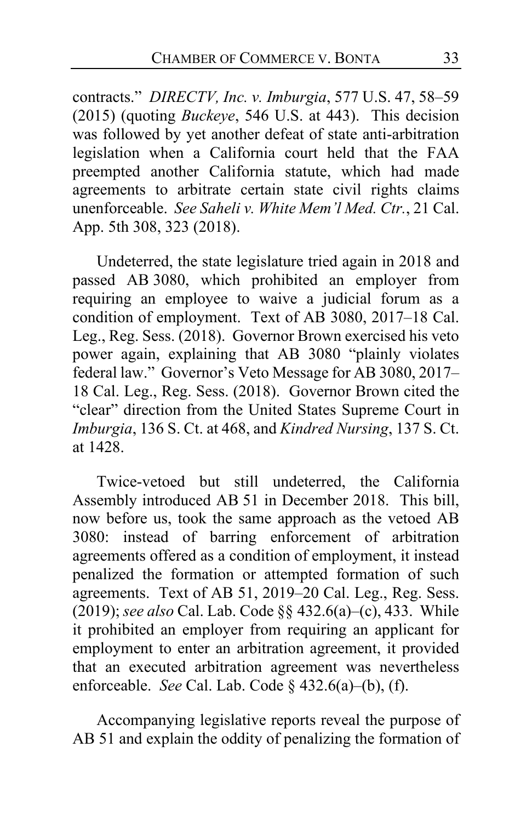contracts." *DIRECTV, Inc. v. Imburgia*, 577 U.S. 47, 58–59 (2015) (quoting *Buckeye*, 546 U.S. at 443). This decision was followed by yet another defeat of state anti-arbitration legislation when a California court held that the FAA preempted another California statute, which had made agreements to arbitrate certain state civil rights claims unenforceable. *See Saheli v. White Mem'l Med. Ctr.*, 21 Cal. App. 5th 308, 323 (2018).

Undeterred, the state legislature tried again in 2018 and passed AB 3080, which prohibited an employer from requiring an employee to waive a judicial forum as a condition of employment. Text of AB 3080, 2017–18 Cal. Leg., Reg. Sess. (2018). Governor Brown exercised his veto power again, explaining that AB 3080 "plainly violates federal law." Governor's Veto Message for AB 3080, 2017– 18 Cal. Leg., Reg. Sess. (2018). Governor Brown cited the "clear" direction from the United States Supreme Court in *Imburgia*, 136 S. Ct. at 468, and *Kindred Nursing*, 137 S. Ct. at 1428.

Twice-vetoed but still undeterred, the California Assembly introduced AB 51 in December 2018. This bill, now before us, took the same approach as the vetoed AB 3080: instead of barring enforcement of arbitration agreements offered as a condition of employment, it instead penalized the formation or attempted formation of such agreements. Text of AB 51, 2019–20 Cal. Leg., Reg. Sess. (2019); *see also* Cal. Lab. Code §§ 432.6(a)–(c), 433. While it prohibited an employer from requiring an applicant for employment to enter an arbitration agreement, it provided that an executed arbitration agreement was nevertheless enforceable. *See* Cal. Lab. Code § 432.6(a)–(b), (f).

Accompanying legislative reports reveal the purpose of AB 51 and explain the oddity of penalizing the formation of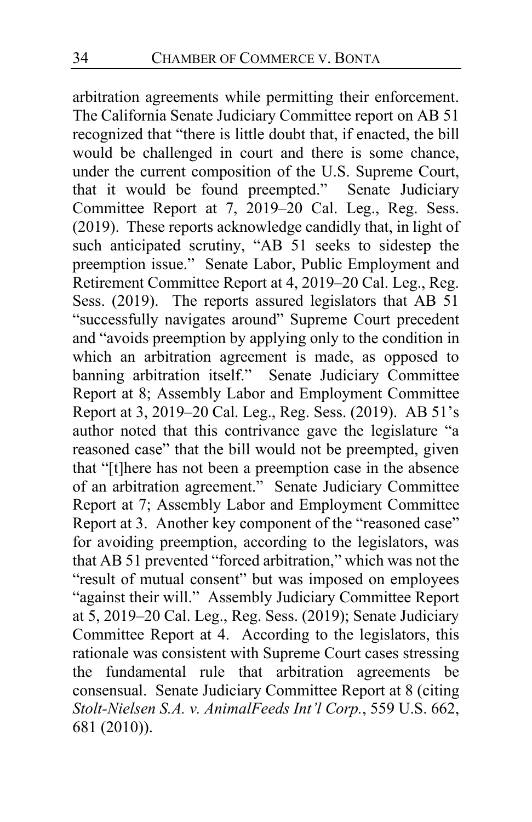arbitration agreements while permitting their enforcement. The California Senate Judiciary Committee report on AB 51 recognized that "there is little doubt that, if enacted, the bill would be challenged in court and there is some chance, under the current composition of the U.S. Supreme Court, that it would be found preempted." Senate Judiciary Committee Report at 7, 2019–20 Cal. Leg., Reg. Sess. (2019). These reports acknowledge candidly that, in light of such anticipated scrutiny, "AB 51 seeks to sidestep the preemption issue." Senate Labor, Public Employment and Retirement Committee Report at 4, 2019–20 Cal. Leg., Reg. Sess. (2019). The reports assured legislators that AB 51 "successfully navigates around" Supreme Court precedent and "avoids preemption by applying only to the condition in which an arbitration agreement is made, as opposed to banning arbitration itself." Senate Judiciary Committee Report at 8; Assembly Labor and Employment Committee Report at 3, 2019–20 Cal. Leg., Reg. Sess. (2019). AB 51's author noted that this contrivance gave the legislature "a reasoned case" that the bill would not be preempted, given that "[t]here has not been a preemption case in the absence of an arbitration agreement." Senate Judiciary Committee Report at 7; Assembly Labor and Employment Committee Report at 3. Another key component of the "reasoned case" for avoiding preemption, according to the legislators, was that AB 51 prevented "forced arbitration," which was not the "result of mutual consent" but was imposed on employees "against their will." Assembly Judiciary Committee Report at 5, 2019–20 Cal. Leg., Reg. Sess. (2019); Senate Judiciary Committee Report at 4. According to the legislators, this rationale was consistent with Supreme Court cases stressing the fundamental rule that arbitration agreements be consensual. Senate Judiciary Committee Report at 8 (citing *Stolt-Nielsen S.A. v. AnimalFeeds Int'l Corp.*, 559 U.S. 662, 681 (2010)).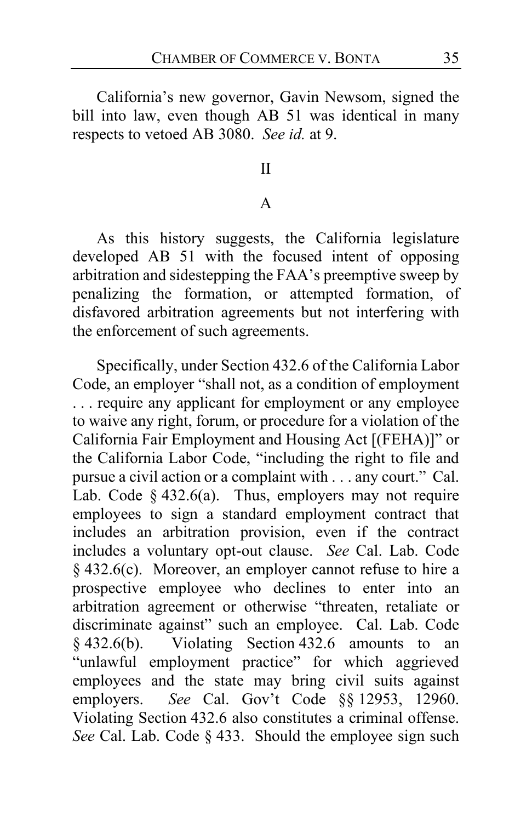California's new governor, Gavin Newsom, signed the bill into law, even though AB 51 was identical in many respects to vetoed AB 3080. *See id.* at 9.

### II

#### A

As this history suggests, the California legislature developed AB 51 with the focused intent of opposing arbitration and sidestepping the FAA's preemptive sweep by penalizing the formation, or attempted formation, of disfavored arbitration agreements but not interfering with the enforcement of such agreements.

Specifically, under Section 432.6 of the California Labor Code, an employer "shall not, as a condition of employment . . . require any applicant for employment or any employee to waive any right, forum, or procedure for a violation of the California Fair Employment and Housing Act [(FEHA)]" or the California Labor Code, "including the right to file and pursue a civil action or a complaint with . . . any court." Cal. Lab. Code  $\S$  432.6(a). Thus, employers may not require employees to sign a standard employment contract that includes an arbitration provision, even if the contract includes a voluntary opt-out clause. *See* Cal. Lab. Code § 432.6(c). Moreover, an employer cannot refuse to hire a prospective employee who declines to enter into an arbitration agreement or otherwise "threaten, retaliate or discriminate against" such an employee. Cal. Lab. Code § 432.6(b). Violating Section 432.6 amounts to an "unlawful employment practice" for which aggrieved employees and the state may bring civil suits against employers. *See* Cal. Gov't Code §§ 12953, 12960. Violating Section 432.6 also constitutes a criminal offense. *See* Cal. Lab. Code § 433. Should the employee sign such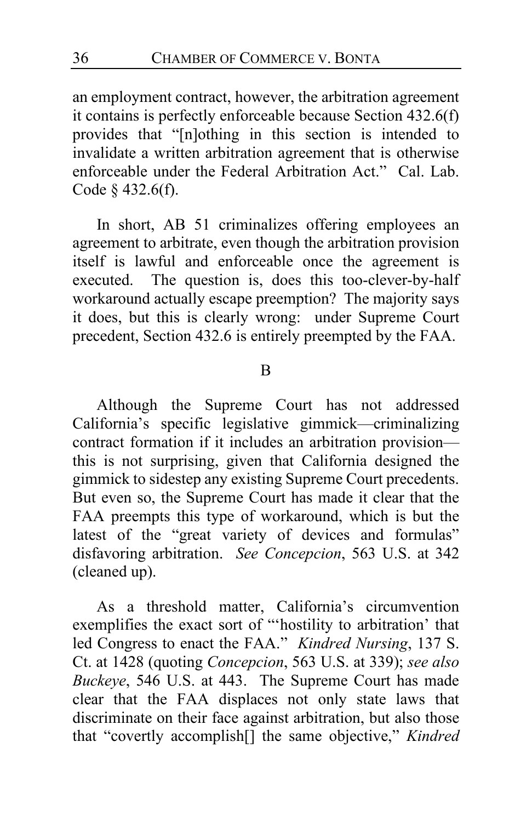an employment contract, however, the arbitration agreement it contains is perfectly enforceable because Section 432.6(f) provides that "[n]othing in this section is intended to invalidate a written arbitration agreement that is otherwise enforceable under the Federal Arbitration Act." Cal. Lab. Code § 432.6(f).

In short, AB 51 criminalizes offering employees an agreement to arbitrate, even though the arbitration provision itself is lawful and enforceable once the agreement is executed. The question is, does this too-clever-by-half workaround actually escape preemption? The majority says it does, but this is clearly wrong: under Supreme Court precedent, Section 432.6 is entirely preempted by the FAA.

#### B

Although the Supreme Court has not addressed California's specific legislative gimmick—criminalizing contract formation if it includes an arbitration provision this is not surprising, given that California designed the gimmick to sidestep any existing Supreme Court precedents. But even so, the Supreme Court has made it clear that the FAA preempts this type of workaround, which is but the latest of the "great variety of devices and formulas" disfavoring arbitration. *See Concepcion*, 563 U.S. at 342 (cleaned up).

As a threshold matter, California's circumvention exemplifies the exact sort of "'hostility to arbitration' that led Congress to enact the FAA." *Kindred Nursing*, 137 S. Ct. at 1428 (quoting *Concepcion*, 563 U.S. at 339); *see also Buckeye*, 546 U.S. at 443. The Supreme Court has made clear that the FAA displaces not only state laws that discriminate on their face against arbitration, but also those that "covertly accomplish[] the same objective," *Kindred*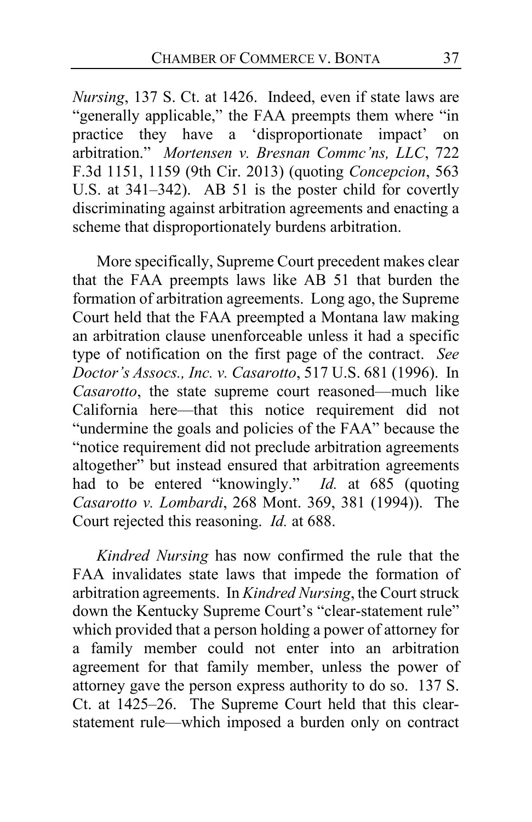*Nursing*, 137 S. Ct. at 1426. Indeed, even if state laws are "generally applicable," the FAA preempts them where "in practice they have a 'disproportionate impact' on arbitration." *Mortensen v. Bresnan Commc'ns, LLC*, 722 F.3d 1151, 1159 (9th Cir. 2013) (quoting *Concepcion*, 563 U.S. at 341–342). AB 51 is the poster child for covertly discriminating against arbitration agreements and enacting a scheme that disproportionately burdens arbitration.

More specifically, Supreme Court precedent makes clear that the FAA preempts laws like AB 51 that burden the formation of arbitration agreements. Long ago, the Supreme Court held that the FAA preempted a Montana law making an arbitration clause unenforceable unless it had a specific type of notification on the first page of the contract. *See Doctor's Assocs., Inc. v. Casarotto*, 517 U.S. 681 (1996). In *Casarotto*, the state supreme court reasoned—much like California here—that this notice requirement did not "undermine the goals and policies of the FAA" because the "notice requirement did not preclude arbitration agreements altogether" but instead ensured that arbitration agreements had to be entered "knowingly." *Id.* at 685 (quoting *Casarotto v. Lombardi*, 268 Mont. 369, 381 (1994)). The Court rejected this reasoning. *Id.* at 688.

*Kindred Nursing* has now confirmed the rule that the FAA invalidates state laws that impede the formation of arbitration agreements. In *Kindred Nursing*, the Court struck down the Kentucky Supreme Court's "clear-statement rule" which provided that a person holding a power of attorney for a family member could not enter into an arbitration agreement for that family member, unless the power of attorney gave the person express authority to do so. 137 S. Ct. at 1425–26. The Supreme Court held that this clearstatement rule—which imposed a burden only on contract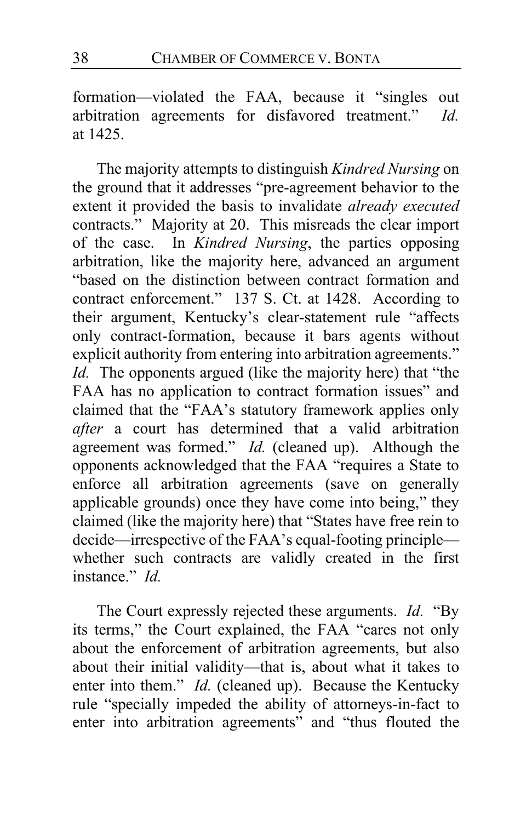formation—violated the FAA, because it "singles out arbitration agreements for disfavored treatment." *Id.* at 1425.

The majority attempts to distinguish *Kindred Nursing* on the ground that it addresses "pre-agreement behavior to the extent it provided the basis to invalidate *already executed*  contracts." Majority at [20.](#page-19-0) This misreads the clear import of the case. In *Kindred Nursing*, the parties opposing arbitration, like the majority here, advanced an argument "based on the distinction between contract formation and contract enforcement." 137 S. Ct. at 1428. According to their argument, Kentucky's clear-statement rule "affects only contract-formation, because it bars agents without explicit authority from entering into arbitration agreements." *Id.* The opponents argued (like the majority here) that "the FAA has no application to contract formation issues" and claimed that the "FAA's statutory framework applies only *after* a court has determined that a valid arbitration agreement was formed." *Id.* (cleaned up). Although the opponents acknowledged that the FAA "requires a State to enforce all arbitration agreements (save on generally applicable grounds) once they have come into being," they claimed (like the majority here) that "States have free rein to decide—irrespective of the FAA's equal-footing principle whether such contracts are validly created in the first instance." *Id.*

The Court expressly rejected these arguments. *Id.* "By its terms," the Court explained, the FAA "cares not only about the enforcement of arbitration agreements, but also about their initial validity—that is, about what it takes to enter into them." *Id.* (cleaned up).Because the Kentucky rule "specially impeded the ability of attorneys-in-fact to enter into arbitration agreements" and "thus flouted the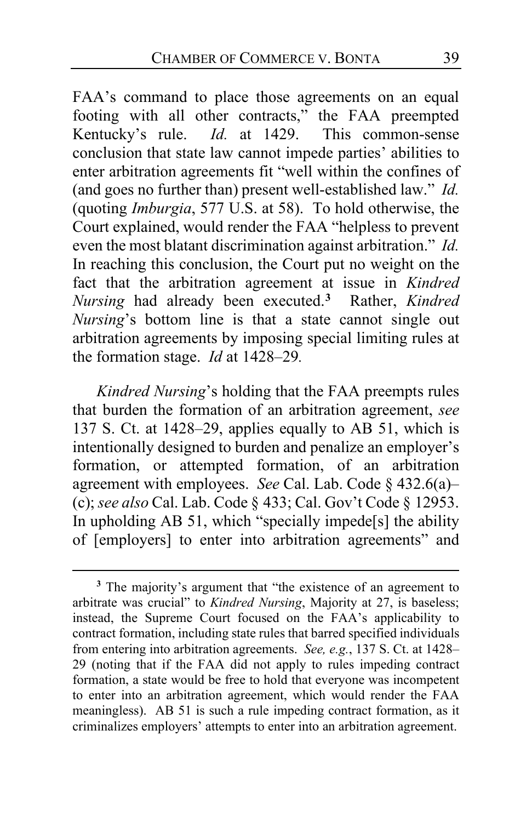FAA's command to place those agreements on an equal footing with all other contracts," the FAA preempted<br>Kentucky's rule. *Id*. at 1429. This common-sense Kentucky's rule. *Id.* at 1429. conclusion that state law cannot impede parties' abilities to enter arbitration agreements fit "well within the confines of (and goes no further than) present well-established law." *Id.* (quoting *Imburgia*, 577 U.S. at 58). To hold otherwise, the Court explained, would render the FAA "helpless to prevent even the most blatant discrimination against arbitration." *Id.*  In reaching this conclusion, the Court put no weight on the fact that the arbitration agreement at issue in *Kindred Nursing* had already been executed.**[3](#page-38-0)** Rather, *Kindred Nursing*'s bottom line is that a state cannot single out arbitration agreements by imposing special limiting rules at the formation stage. *Id* at 1428–29*.*

*Kindred Nursing*'s holding that the FAA preempts rules that burden the formation of an arbitration agreement, *see*  137 S. Ct. at 1428–29, applies equally to AB 51, which is intentionally designed to burden and penalize an employer's formation, or attempted formation, of an arbitration agreement with employees. *See* Cal. Lab. Code § 432.6(a)– (c); *see also* Cal. Lab. Code § 433; Cal. Gov't Code § 12953. In upholding AB 51, which "specially impede[s] the ability of [employers] to enter into arbitration agreements" and

<span id="page-38-0"></span>**<sup>3</sup>** The majority's argument that "the existence of an agreement to arbitrate was crucial" to *Kindred Nursing*, Majority at [27,](#page-26-0) is baseless; instead, the Supreme Court focused on the FAA's applicability to contract formation, including state rules that barred specified individuals from entering into arbitration agreements. *See, e.g.*, 137 S. Ct. at 1428– 29 (noting that if the FAA did not apply to rules impeding contract formation, a state would be free to hold that everyone was incompetent to enter into an arbitration agreement, which would render the FAA meaningless). AB 51 is such a rule impeding contract formation, as it criminalizes employers' attempts to enter into an arbitration agreement.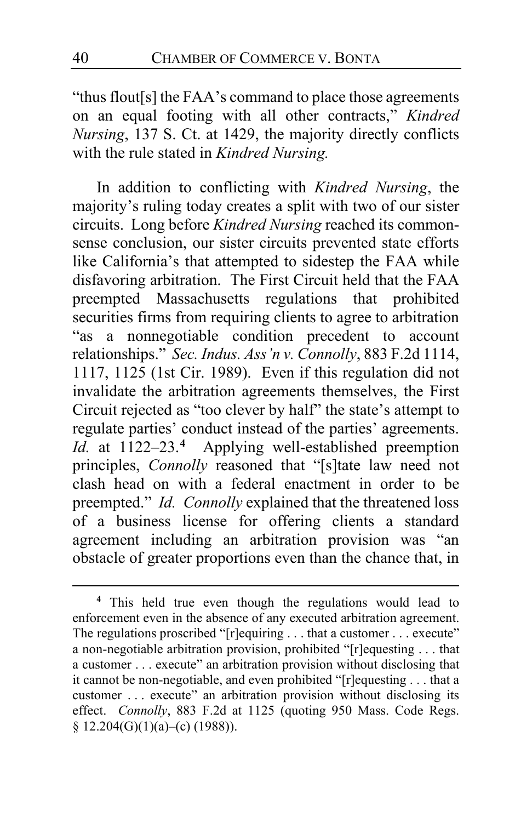"thus flout[s] the FAA's command to place those agreements on an equal footing with all other contracts," *Kindred Nursing*, 137 S. Ct. at 1429, the majority directly conflicts with the rule stated in *Kindred Nursing.*

In addition to conflicting with *Kindred Nursing*, the majority's ruling today creates a split with two of our sister circuits. Long before *Kindred Nursing* reached its commonsense conclusion, our sister circuits prevented state efforts like California's that attempted to sidestep the FAA while disfavoring arbitration. The First Circuit held that the FAA preempted Massachusetts regulations that prohibited securities firms from requiring clients to agree to arbitration "as a nonnegotiable condition precedent to account relationships." *Sec. Indus. Ass'n v. Connolly*, 883 F.2d 1114, 1117, 1125 (1st Cir. 1989). Even if this regulation did not invalidate the arbitration agreements themselves, the First Circuit rejected as "too clever by half" the state's attempt to regulate parties' conduct instead of the parties' agreements. *Id.* at 1122–23.**[4](#page-39-0)** Applying well-established preemption principles, *Connolly* reasoned that "[s]tate law need not clash head on with a federal enactment in order to be preempted." *Id. Connolly* explained that the threatened loss of a business license for offering clients a standard agreement including an arbitration provision was "an obstacle of greater proportions even than the chance that, in

<span id="page-39-0"></span>**<sup>4</sup>** This held true even though the regulations would lead to enforcement even in the absence of any executed arbitration agreement. The regulations proscribed "[r]equiring . . . that a customer . . . execute" a non-negotiable arbitration provision, prohibited "[r]equesting . . . that a customer . . . execute" an arbitration provision without disclosing that it cannot be non-negotiable, and even prohibited "[r]equesting . . . that a customer . . . execute" an arbitration provision without disclosing its effect. *Connolly*, 883 F.2d at 1125 (quoting 950 Mass. Code Regs. § 12.204(G)(1)(a)–(c) (1988)).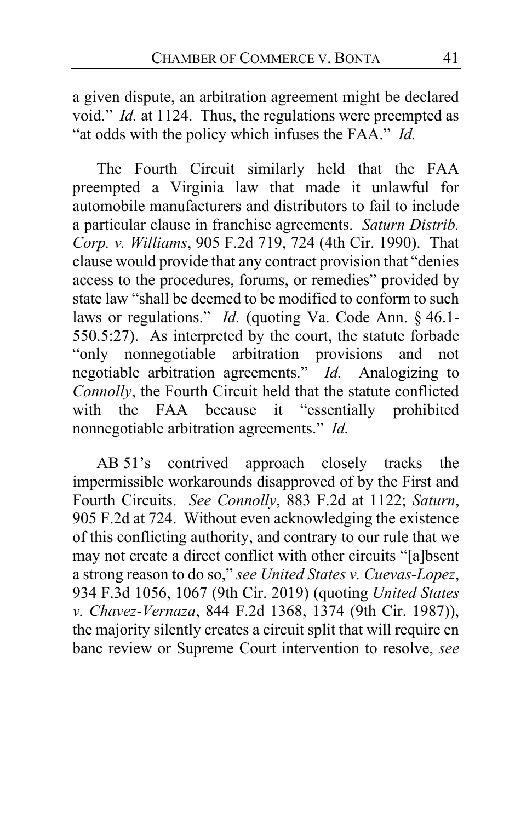a given dispute, an arbitration agreement might be declared void." *Id.* at 1124. Thus, the regulations were preempted as "at odds with the policy which infuses the FAA." *Id.*

The Fourth Circuit similarly held that the FAA preempted a Virginia law that made it unlawful for automobile manufacturers and distributors to fail to include a particular clause in franchise agreements. *Saturn Distrib. Corp. v. Williams*, 905 F.2d 719, 724 (4th Cir. 1990). That clause would provide that any contract provision that "denies access to the procedures, forums, or remedies" provided by state law "shall be deemed to be modified to conform to such laws or regulations." *Id.* (quoting Va. Code Ann. § 46.1- 550.5:27). As interpreted by the court, the statute forbade "only nonnegotiable arbitration provisions and not negotiable arbitration agreements." *Id.* Analogizing to *Connolly*, the Fourth Circuit held that the statute conflicted with the FAA because it "essentially prohibited nonnegotiable arbitration agreements." *Id.*

AB 51's contrived approach closely tracks the impermissible workarounds disapproved of by the First and Fourth Circuits. *See Connolly*, 883 F.2d at 1122; *Saturn*, 905 F.2d at 724. Without even acknowledging the existence of this conflicting authority, and contrary to our rule that we may not create a direct conflict with other circuits "[a]bsent a strong reason to do so," *see United States v. Cuevas-Lopez*, 934 F.3d 1056, 1067 (9th Cir. 2019) (quoting *United States v. Chavez-Vernaza*, 844 F.2d 1368, 1374 (9th Cir. 1987)), the majority silently creates a circuit split that will require en banc review or Supreme Court intervention to resolve, *see*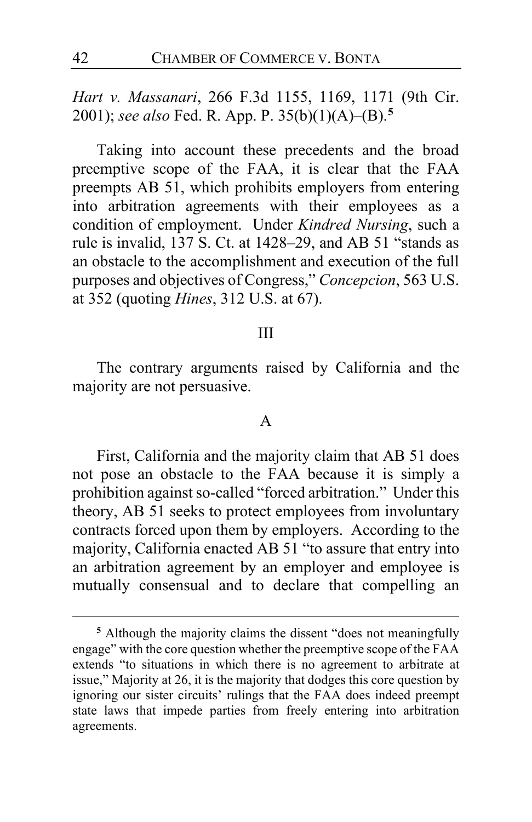*Hart v. Massanari*, 266 F.3d 1155, 1169, 1171 (9th Cir. 2001); *see also* Fed. R. App. P. 35(b)(1)(A)–(B).**[5](#page-41-0)**

Taking into account these precedents and the broad preemptive scope of the FAA, it is clear that the FAA preempts AB 51, which prohibits employers from entering into arbitration agreements with their employees as a condition of employment. Under *Kindred Nursing*, such a rule is invalid, 137 S. Ct. at 1428–29, and AB 51 "stands as an obstacle to the accomplishment and execution of the full purposes and objectives of Congress," *Concepcion*, 563 U.S. at 352 (quoting *Hines*, 312 U.S. at 67).

#### III

The contrary arguments raised by California and the majority are not persuasive.

# A

First, California and the majority claim that AB 51 does not pose an obstacle to the FAA because it is simply a prohibition against so-called "forced arbitration." Under this theory, AB 51 seeks to protect employees from involuntary contracts forced upon them by employers. According to the majority, California enacted AB 51 "to assure that entry into an arbitration agreement by an employer and employee is mutually consensual and to declare that compelling an

<span id="page-41-0"></span>**<sup>5</sup>** Although the majority claims the dissent "does not meaningfully engage" with the core question whether the preemptive scope of the FAA extends "to situations in which there is no agreement to arbitrate at issue," Majority at [26,](#page-25-2) it is the majority that dodges this core question by ignoring our sister circuits' rulings that the FAA does indeed preempt state laws that impede parties from freely entering into arbitration agreements.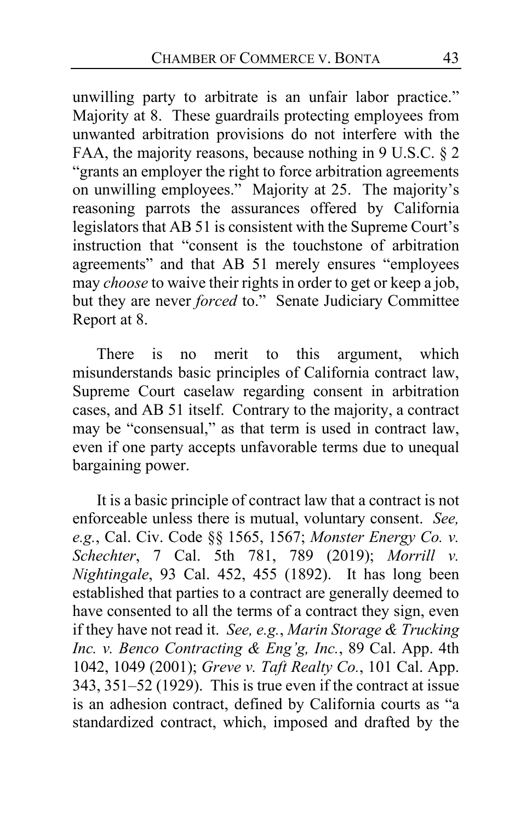unwilling party to arbitrate is an unfair labor practice." Majority at [8.](#page-7-0) These guardrails protecting employees from unwanted arbitration provisions do not interfere with the FAA, the majority reasons, because nothing in 9 U.S.C. § 2 "grants an employer the right to force arbitration agreements on unwilling employees." Majority at [25.](#page-24-0) The majority's reasoning parrots the assurances offered by California legislators that AB 51 is consistent with the Supreme Court's instruction that "consent is the touchstone of arbitration agreements" and that AB 51 merely ensures "employees may *choose* to waive their rights in order to get or keep a job, but they are never *forced* to." Senate Judiciary Committee Report at 8.

There is no merit to this argument, which misunderstands basic principles of California contract law, Supreme Court caselaw regarding consent in arbitration cases, and AB 51 itself. Contrary to the majority, a contract may be "consensual," as that term is used in contract law, even if one party accepts unfavorable terms due to unequal bargaining power.

It is a basic principle of contract law that a contract is not enforceable unless there is mutual, voluntary consent. *See, e.g.*, Cal. Civ. Code §§ 1565, 1567; *Monster Energy Co. v. Schechter*, 7 Cal. 5th 781, 789 (2019); *Morrill v. Nightingale*, 93 Cal. 452, 455 (1892). It has long been established that parties to a contract are generally deemed to have consented to all the terms of a contract they sign, even if they have not read it. *See, e.g.*, *Marin Storage & Trucking Inc. v. Benco Contracting & Eng'g, Inc.*, 89 Cal. App. 4th 1042, 1049 (2001); *Greve v. Taft Realty Co.*, 101 Cal. App. 343, 351–52 (1929). This is true even if the contract at issue is an adhesion contract, defined by California courts as "a standardized contract, which, imposed and drafted by the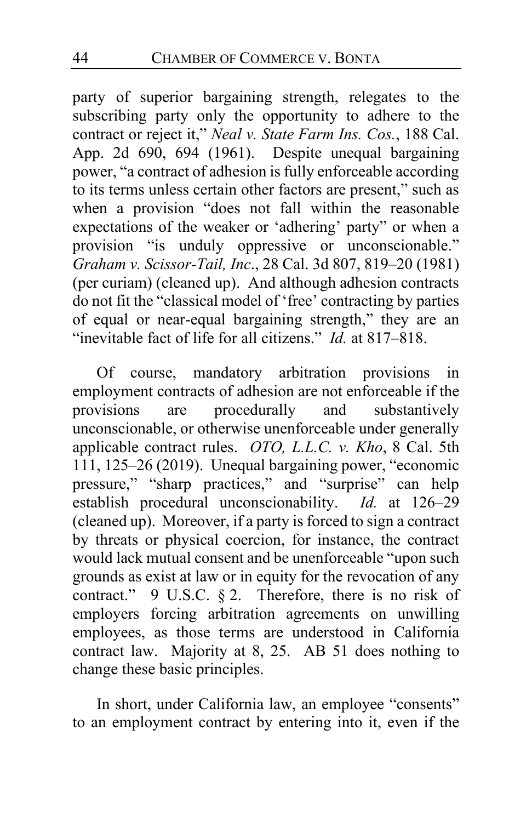party of superior bargaining strength, relegates to the subscribing party only the opportunity to adhere to the contract or reject it," *Neal v. State Farm Ins. Cos.*, 188 Cal. App. 2d 690, 694 (1961). Despite unequal bargaining power, "a contract of adhesion is fully enforceable according to its terms unless certain other factors are present," such as when a provision "does not fall within the reasonable expectations of the weaker or 'adhering' party" or when a provision "is unduly oppressive or unconscionable." *Graham v. Scissor-Tail, Inc*., 28 Cal. 3d 807, 819–20 (1981) (per curiam) (cleaned up). And although adhesion contracts do not fit the "classical model of 'free' contracting by parties of equal or near-equal bargaining strength," they are an "inevitable fact of life for all citizens." *Id.* at 817–818.

Of course, mandatory arbitration provisions in employment contracts of adhesion are not enforceable if the<br>provisions are procedurally and substantively procedurally and substantively unconscionable, or otherwise unenforceable under generally applicable contract rules. *OTO, L.L.C. v. Kho*, 8 Cal. 5th 111, 125–26 (2019). Unequal bargaining power, "economic pressure," "sharp practices," and "surprise" can help establish procedural unconscionability. *Id.* at 126–29 (cleaned up). Moreover, if a party is forced to sign a contract by threats or physical coercion, for instance, the contract would lack mutual consent and be unenforceable "upon such grounds as exist at law or in equity for the revocation of any contract." 9 U.S.C. § 2. Therefore, there is no risk of employers forcing arbitration agreements on unwilling employees, as those terms are understood in California contract law. Majority at [8,](#page-7-0) [25.](#page-24-0) AB 51 does nothing to change these basic principles.

In short, under California law, an employee "consents" to an employment contract by entering into it, even if the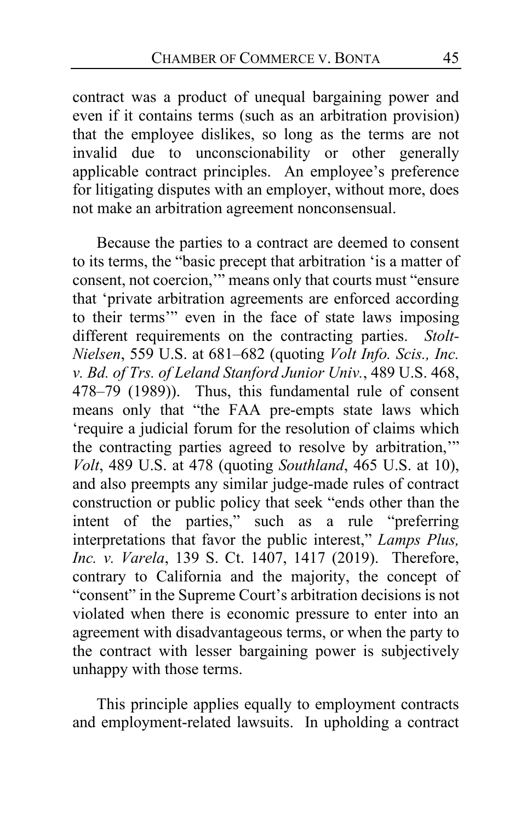contract was a product of unequal bargaining power and even if it contains terms (such as an arbitration provision) that the employee dislikes, so long as the terms are not invalid due to unconscionability or other generally applicable contract principles. An employee's preference for litigating disputes with an employer, without more, does not make an arbitration agreement nonconsensual.

Because the parties to a contract are deemed to consent to its terms, the "basic precept that arbitration 'is a matter of consent, not coercion,'" means only that courts must "ensure that 'private arbitration agreements are enforced according to their terms'" even in the face of state laws imposing different requirements on the contracting parties. *Stolt-Nielsen*, 559 U.S. at 681–682 (quoting *Volt Info. Scis., Inc. v. Bd. of Trs. of Leland Stanford Junior Univ.*, 489 U.S. 468, 478–79 (1989)). Thus, this fundamental rule of consent means only that "the FAA pre-empts state laws which 'require a judicial forum for the resolution of claims which the contracting parties agreed to resolve by arbitration,'" *Volt*, 489 U.S. at 478 (quoting *Southland*, 465 U.S. at 10), and also preempts any similar judge-made rules of contract construction or public policy that seek "ends other than the intent of the parties," such as a rule "preferring interpretations that favor the public interest," *Lamps Plus, Inc. v. Varela*, 139 S. Ct. 1407, 1417 (2019). Therefore, contrary to California and the majority, the concept of "consent" in the Supreme Court's arbitration decisions is not violated when there is economic pressure to enter into an agreement with disadvantageous terms, or when the party to the contract with lesser bargaining power is subjectively unhappy with those terms.

This principle applies equally to employment contracts and employment-related lawsuits. In upholding a contract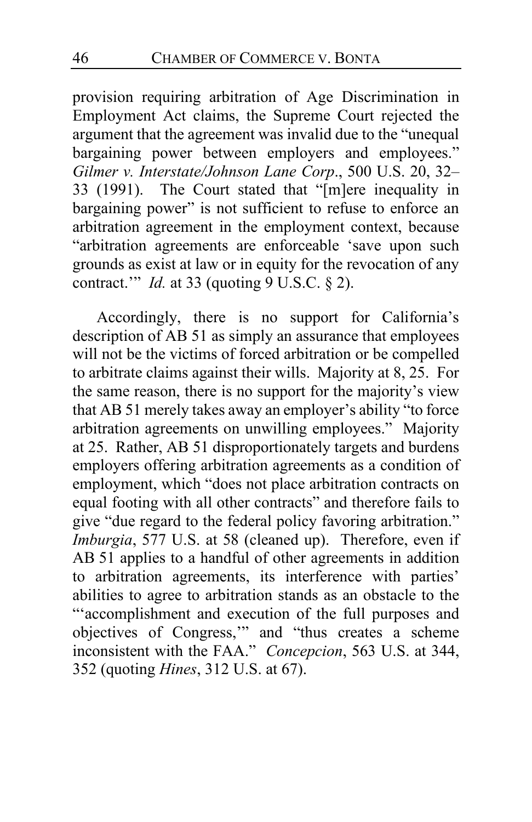provision requiring arbitration of Age Discrimination in Employment Act claims, the Supreme Court rejected the argument that the agreement was invalid due to the "unequal bargaining power between employers and employees." *Gilmer v. Interstate/Johnson Lane Corp*., 500 U.S. 20, 32– 33 (1991). The Court stated that "[m]ere inequality in bargaining power" is not sufficient to refuse to enforce an arbitration agreement in the employment context, because "arbitration agreements are enforceable 'save upon such grounds as exist at law or in equity for the revocation of any contract.'" *Id.* at 33 (quoting 9 U.S.C. § 2).

Accordingly, there is no support for California's description of AB 51 as simply an assurance that employees will not be the victims of forced arbitration or be compelled to arbitrate claims against their wills. Majority at [8,](#page-7-0) [25.](#page-24-0) For the same reason, there is no support for the majority's view that AB 51 merely takes away an employer's ability "to force arbitration agreements on unwilling employees." Majority at [25.](#page-24-0) Rather, AB 51 disproportionately targets and burdens employers offering arbitration agreements as a condition of employment, which "does not place arbitration contracts on equal footing with all other contracts" and therefore fails to give "due regard to the federal policy favoring arbitration." *Imburgia*, 577 U.S. at 58 (cleaned up). Therefore, even if AB 51 applies to a handful of other agreements in addition to arbitration agreements, its interference with parties' abilities to agree to arbitration stands as an obstacle to the "'accomplishment and execution of the full purposes and objectives of Congress,'" and "thus creates a scheme inconsistent with the FAA." *Concepcion*, 563 U.S. at 344, 352 (quoting *Hines*, 312 U.S. at 67).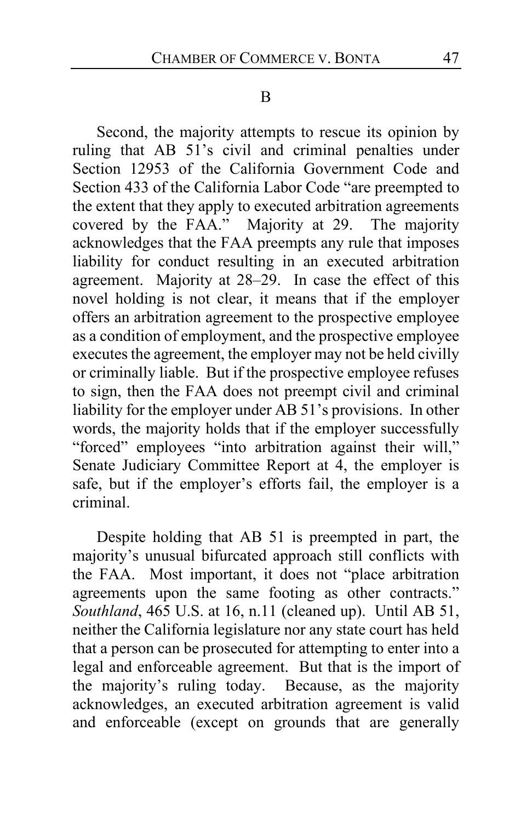#### B

Second, the majority attempts to rescue its opinion by ruling that AB 51's civil and criminal penalties under Section 12953 of the California Government Code and Section 433 of the California Labor Code "are preempted to the extent that they apply to executed arbitration agreements covered by the FAA." Majority at 29. The majority acknowledges that the FAA preempts any rule that imposes liability for conduct resulting in an executed arbitration agreement. Majority at 28–29. In case the effect of this novel holding is not clear, it means that if the employer offers an arbitration agreement to the prospective employee as a condition of employment, and the prospective employee executes the agreement, the employer may not be held civilly or criminally liable. But if the prospective employee refuses to sign, then the FAA does not preempt civil and criminal liability for the employer under AB 51's provisions. In other words, the majority holds that if the employer successfully "forced" employees "into arbitration against their will," Senate Judiciary Committee Report at 4, the employer is safe, but if the employer's efforts fail, the employer is a criminal.

Despite holding that AB 51 is preempted in part, the majority's unusual bifurcated approach still conflicts with the FAA. Most important, it does not "place arbitration agreements upon the same footing as other contracts." *Southland*, 465 U.S. at 16, n.11 (cleaned up). Until AB 51, neither the California legislature nor any state court has held that a person can be prosecuted for attempting to enter into a legal and enforceable agreement. But that is the import of the majority's ruling today. Because, as the majority acknowledges, an executed arbitration agreement is valid and enforceable (except on grounds that are generally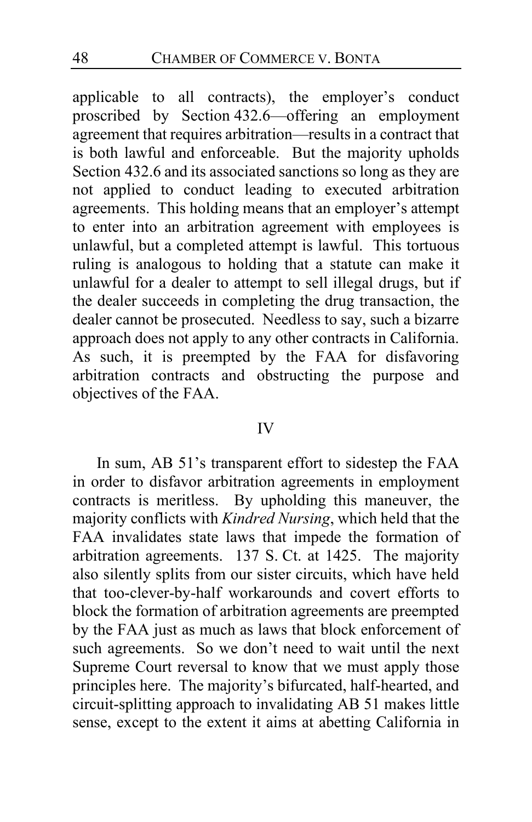applicable to all contracts), the employer's conduct proscribed by Section 432.6—offering an employment agreement that requires arbitration—results in a contract that is both lawful and enforceable. But the majority upholds Section 432.6 and its associated sanctions so long as they are not applied to conduct leading to executed arbitration agreements. This holding means that an employer's attempt to enter into an arbitration agreement with employees is unlawful, but a completed attempt is lawful. This tortuous ruling is analogous to holding that a statute can make it unlawful for a dealer to attempt to sell illegal drugs, but if the dealer succeeds in completing the drug transaction, the dealer cannot be prosecuted. Needless to say, such a bizarre approach does not apply to any other contracts in California. As such, it is preempted by the FAA for disfavoring arbitration contracts and obstructing the purpose and objectives of the FAA.

#### IV

In sum, AB 51's transparent effort to sidestep the FAA in order to disfavor arbitration agreements in employment contracts is meritless. By upholding this maneuver, the majority conflicts with *Kindred Nursing*, which held that the FAA invalidates state laws that impede the formation of arbitration agreements. 137 S. Ct. at 1425. The majority also silently splits from our sister circuits, which have held that too-clever-by-half workarounds and covert efforts to block the formation of arbitration agreements are preempted by the FAA just as much as laws that block enforcement of such agreements. So we don't need to wait until the next Supreme Court reversal to know that we must apply those principles here. The majority's bifurcated, half-hearted, and circuit-splitting approach to invalidating AB 51 makes little sense, except to the extent it aims at abetting California in